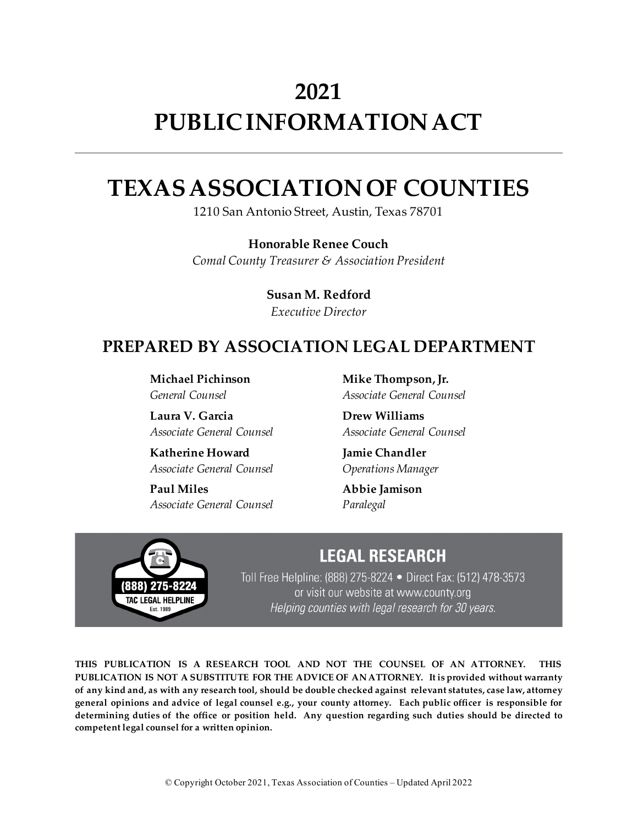# **2021 PUBLIC INFORMATION ACT**

# **TEXAS ASSOCIATION OF COUNTIES**

1210 San Antonio Street, Austin, Texas 78701

**Honorable Renee Couch** *Comal County Treasurer & Association President*

> **Susan M. Redford** *Executive Director*

## **PREPARED BY ASSOCIATION LEGAL DEPARTMENT**

**Michael Pichinson** *General Counsel*

**Laura V. Garcia** *Associate General Counsel*

**Katherine Howard** *Associate General Counsel*

**Paul Miles** *Associate General Counsel* **Mike Thompson, Jr.** *Associate General Counsel*

**Drew Williams** *Associate General Counsel*

**Jamie Chandler** *Operations Manager*

**Abbie Jamison** *Paralegal*



## **LEGAL RESEARCH**

Toll Free Helpline: (888) 275-8224 • Direct Fax: (512) 478-3573 or visit our website at www.county.org Helping counties with legal research for 30 years.

**THIS PUBLICATION IS A RESEARCH TOOL AND NOT THE COUNSEL OF AN ATTORNEY. THIS PUBLICATION IS NOT A SUBSTITUTE FOR THE ADVICE OF AN ATTORNEY. It is provided without warranty of any kind and, as with any research tool, should be double checked against relevant statutes, case law, attorney general opinions and advice of legal counsel e.g., your county attorney. Each public officer is responsible for determining duties of the office or position held. Any question regarding such duties should be directed to competent legal counsel for a written opinion.**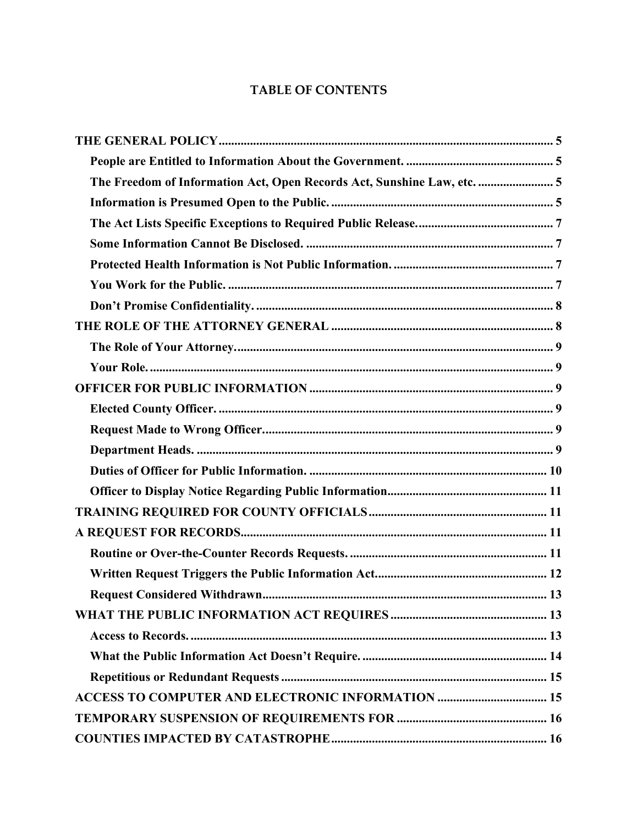## **TABLE OF CONTENTS**

| The Freedom of Information Act, Open Records Act, Sunshine Law, etc.  5 |  |
|-------------------------------------------------------------------------|--|
|                                                                         |  |
|                                                                         |  |
|                                                                         |  |
|                                                                         |  |
|                                                                         |  |
|                                                                         |  |
|                                                                         |  |
|                                                                         |  |
|                                                                         |  |
|                                                                         |  |
|                                                                         |  |
|                                                                         |  |
|                                                                         |  |
|                                                                         |  |
|                                                                         |  |
|                                                                         |  |
|                                                                         |  |
|                                                                         |  |
|                                                                         |  |
|                                                                         |  |
|                                                                         |  |
|                                                                         |  |
|                                                                         |  |
|                                                                         |  |
| <b>ACCESS TO COMPUTER AND ELECTRONIC INFORMATION  15</b>                |  |
|                                                                         |  |
|                                                                         |  |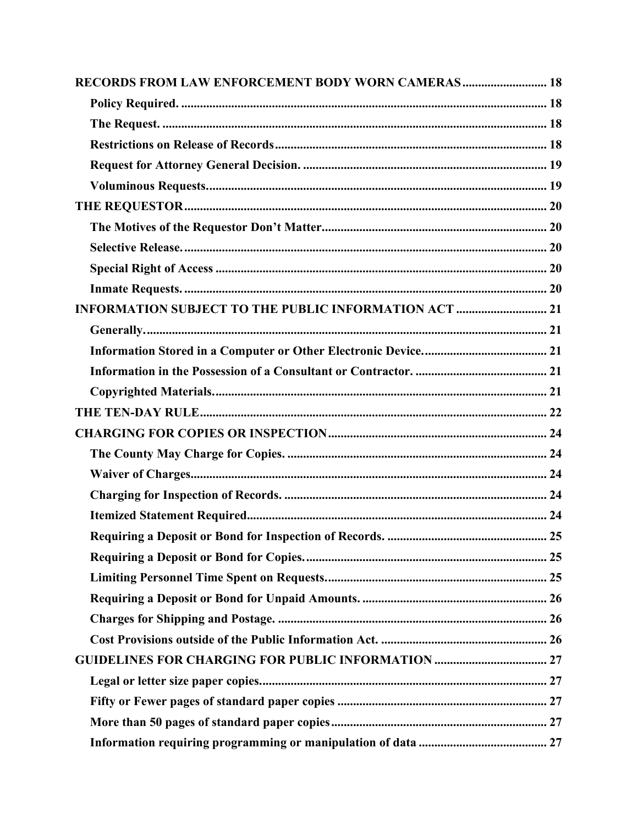| RECORDS FROM LAW ENFORCEMENT BODY WORN CAMERAS 18            |  |
|--------------------------------------------------------------|--|
|                                                              |  |
|                                                              |  |
|                                                              |  |
|                                                              |  |
|                                                              |  |
|                                                              |  |
|                                                              |  |
|                                                              |  |
|                                                              |  |
|                                                              |  |
| <b>INFORMATION SUBJECT TO THE PUBLIC INFORMATION ACT  21</b> |  |
|                                                              |  |
|                                                              |  |
|                                                              |  |
|                                                              |  |
|                                                              |  |
|                                                              |  |
|                                                              |  |
|                                                              |  |
|                                                              |  |
|                                                              |  |
|                                                              |  |
|                                                              |  |
|                                                              |  |
|                                                              |  |
|                                                              |  |
|                                                              |  |
|                                                              |  |
|                                                              |  |
|                                                              |  |
|                                                              |  |
|                                                              |  |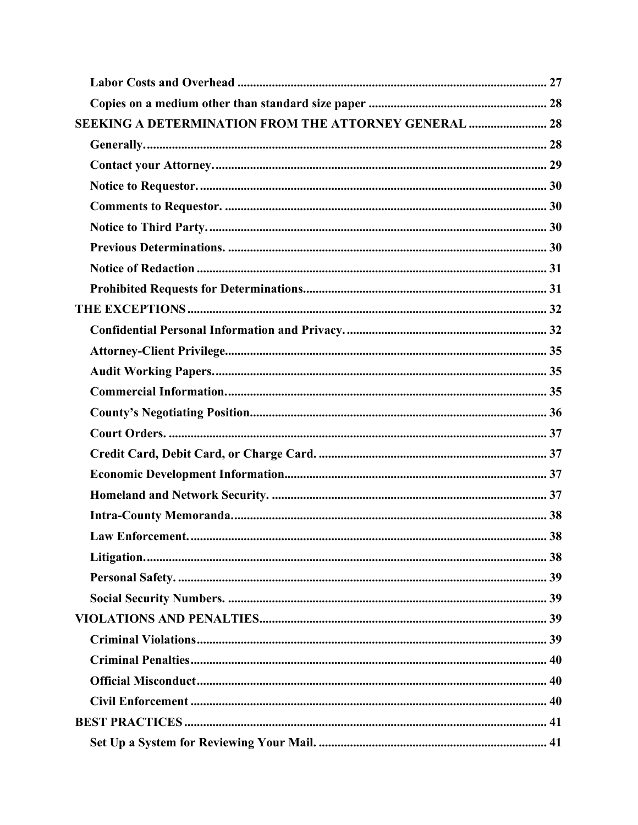| <b>SEEKING A DETERMINATION FROM THE ATTORNEY GENERAL  28</b> |  |
|--------------------------------------------------------------|--|
|                                                              |  |
|                                                              |  |
|                                                              |  |
|                                                              |  |
|                                                              |  |
|                                                              |  |
|                                                              |  |
|                                                              |  |
|                                                              |  |
|                                                              |  |
|                                                              |  |
|                                                              |  |
|                                                              |  |
|                                                              |  |
|                                                              |  |
|                                                              |  |
|                                                              |  |
|                                                              |  |
|                                                              |  |
|                                                              |  |
|                                                              |  |
|                                                              |  |
|                                                              |  |
|                                                              |  |
|                                                              |  |
|                                                              |  |
|                                                              |  |
|                                                              |  |
|                                                              |  |
|                                                              |  |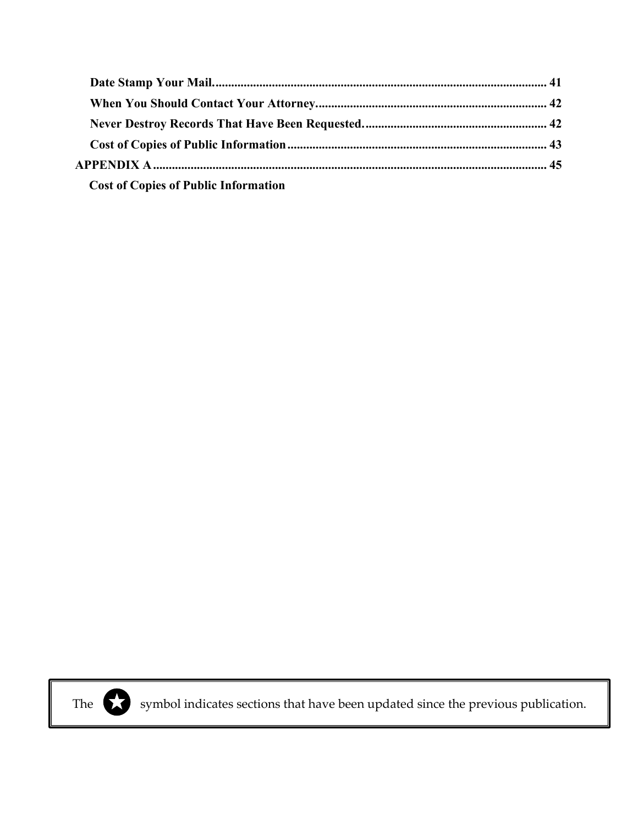| <b>Cost of Copies of Public Information</b> |  |
|---------------------------------------------|--|



The symbol indicates sections that have been updated since the previous publication.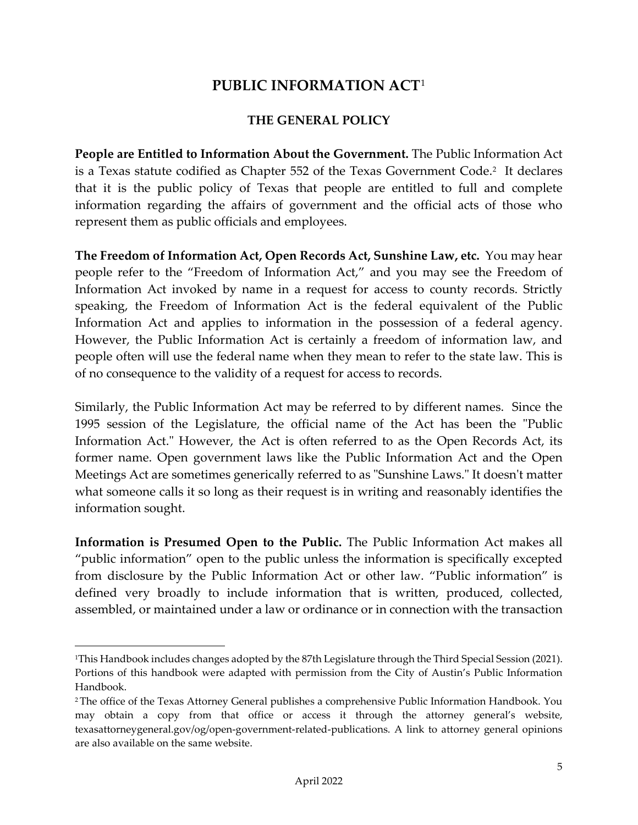## **PUBLIC INFORMATION ACT**[1](#page-5-4)

#### **THE GENERAL POLICY**

<span id="page-5-1"></span><span id="page-5-0"></span>**People are Entitled to Information About the Government.** The Public Information Act is a Texas statute codified as Chapter 55[2](#page-5-5) of the Texas Government Code.<sup>2</sup> It declares that it is the public policy of Texas that people are entitled to full and complete information regarding the affairs of government and the official acts of those who represent them as public officials and employees.

<span id="page-5-2"></span>**The Freedom of Information Act, Open Records Act, Sunshine Law, etc.** You may hear people refer to the "Freedom of Information Act," and you may see the Freedom of Information Act invoked by name in a request for access to county records. Strictly speaking, the Freedom of Information Act is the federal equivalent of the Public Information Act and applies to information in the possession of a federal agency. However, the Public Information Act is certainly a freedom of information law, and people often will use the federal name when they mean to refer to the state law. This is of no consequence to the validity of a request for access to records.

Similarly, the Public Information Act may be referred to by different names. Since the 1995 session of the Legislature, the official name of the Act has been the "Public Information Act." However, the Act is often referred to as the Open Records Act, its former name. Open government laws like the Public Information Act and the Open Meetings Act are sometimes generically referred to as "Sunshine Laws." It doesn't matter what someone calls it so long as their request is in writing and reasonably identifies the information sought.

<span id="page-5-3"></span>**Information is Presumed Open to the Public.** The Public Information Act makes all "public information" open to the public unless the information is specifically excepted from disclosure by the Public Information Act or other law. "Public information" is defined very broadly to include information that is written, produced, collected, assembled, or maintained under a law or ordinance or in connection with the transaction

<span id="page-5-4"></span><sup>1</sup>This Handbook includes changes adopted by the 87th Legislature through the Third Special Session (2021). Portions of this handbook were adapted with permission from the City of Austin's Public Information Handbook.

<span id="page-5-5"></span><sup>2</sup> The office of the Texas Attorney General publishes a comprehensive Public Information Handbook. You may obtain a copy from that office or access it through the attorney general's website, texasattorneygeneral.gov/og/open-government-related-publications. A link to attorney general opinions are also available on the same website.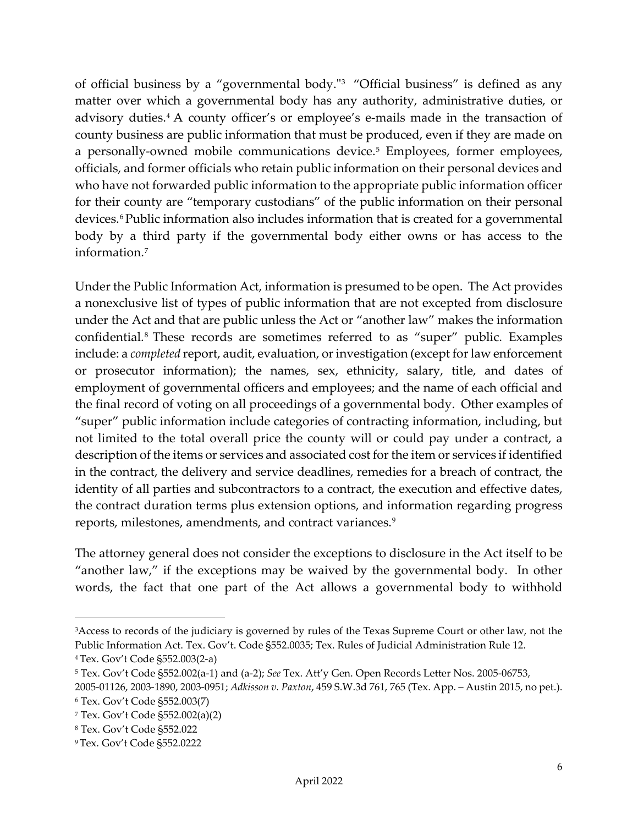of official business by a "governmental body."[3](#page-6-0) "Official business" is defined as any matter over which a governmental body has any authority, administrative duties, or advisory duties.<sup>[4](#page-6-1)</sup> A county officer's or employee's e-mails made in the transaction of county business are public information that must be produced, even if they are made on a personally-owned mobile communications device.[5](#page-6-2) Employees, former employees, officials, and former officials who retain public information on their personal devices and who have not forwarded public information to the appropriate public information officer for their county are "temporary custodians" of the public information on their personal devices.<sup>[6](#page-6-3)</sup>Public information also includes information that is created for a governmental body by a third party if the governmental body either owns or has access to the information.[7](#page-6-4)

Under the Public Information Act, information is presumed to be open. The Act provides a nonexclusive list of types of public information that are not excepted from disclosure under the Act and that are public unless the Act or "another law" makes the information confidential.[8](#page-6-5) These records are sometimes referred to as "super" public. Examples include: a *completed* report, audit, evaluation, or investigation (except for law enforcement or prosecutor information); the names, sex, ethnicity, salary, title, and dates of employment of governmental officers and employees; and the name of each official and the final record of voting on all proceedings of a governmental body. Other examples of "super" public information include categories of contracting information, including, but not limited to the total overall price the county will or could pay under a contract, a description of the items or services and associated cost for the item or services if identified in the contract, the delivery and service deadlines, remedies for a breach of contract, the identity of all parties and subcontractors to a contract, the execution and effective dates, the contract duration terms plus extension options, and information regarding progress reports, milestones, amendments, and contract variances.<sup>[9](#page-6-6)</sup>

The attorney general does not consider the exceptions to disclosure in the Act itself to be "another law," if the exceptions may be waived by the governmental body. In other words, the fact that one part of the Act allows a governmental body to withhold

<span id="page-6-0"></span><sup>&</sup>lt;sup>3</sup>Access to records of the judiciary is governed by rules of the Texas Supreme Court or other law, not the Public Information Act. Tex. Gov't. Code §552.0035; Tex. Rules of Judicial Administration Rule 12.

<span id="page-6-1"></span><sup>4</sup> Tex. Gov't Code §552.003(2-a)

<span id="page-6-2"></span><sup>5</sup> Tex. Gov't Code §552.002(a-1) and (a-2); *See* Tex. Att'y Gen. Open Records Letter Nos. 2005-06753,

<sup>2005-01126, 2003-1890, 2003-0951;</sup> *Adkisson v. Paxton*, 459 S.W.3d 761, 765 (Tex. App. – Austin 2015, no pet.).

<span id="page-6-3"></span><sup>6</sup> Tex. Gov't Code §552.003(7)

<span id="page-6-4"></span><sup>7</sup> Tex. Gov't Code §552.002(a)(2)

<span id="page-6-5"></span><sup>8</sup> Tex. Gov't Code §552.022

<span id="page-6-6"></span><sup>9</sup> Tex. Gov't Code §552.0222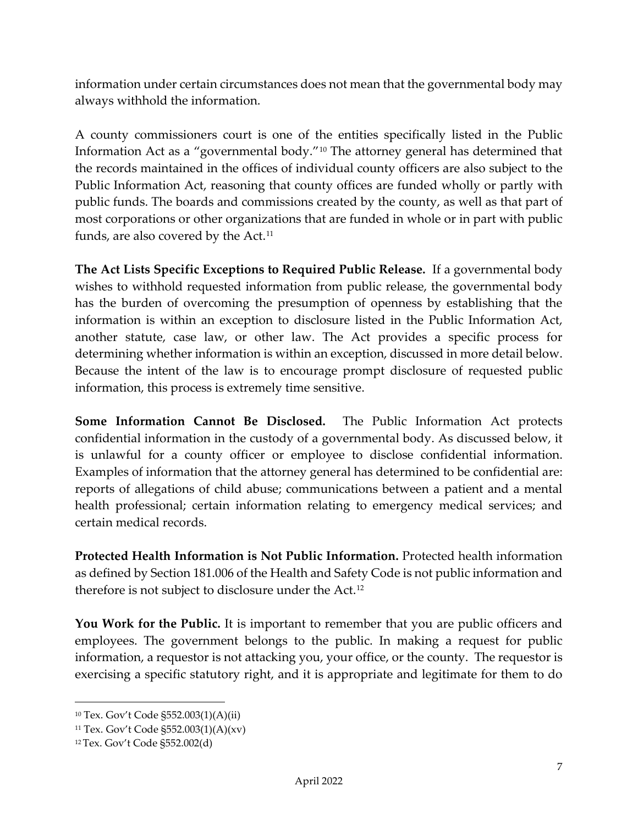information under certain circumstances does not mean that the governmental body may always withhold the information.

A county commissioners court is one of the entities specifically listed in the Public Information Act as a "governmental body."[10](#page-7-4) The attorney general has determined that the records maintained in the offices of individual county officers are also subject to the Public Information Act, reasoning that county offices are funded wholly or partly with public funds. The boards and commissions created by the county, as well as that part of most corporations or other organizations that are funded in whole or in part with public funds, are also covered by the Act.<sup>[11](#page-7-5)</sup>

<span id="page-7-0"></span>**The Act Lists Specific Exceptions to Required Public Release.** If a governmental body wishes to withhold requested information from public release, the governmental body has the burden of overcoming the presumption of openness by establishing that the information is within an exception to disclosure listed in the Public Information Act, another statute, case law, or other law. The Act provides a specific process for determining whether information is within an exception, discussed in more detail below. Because the intent of the law is to encourage prompt disclosure of requested public information, this process is extremely time sensitive.

<span id="page-7-1"></span>**Some Information Cannot Be Disclosed.** The Public Information Act protects confidential information in the custody of a governmental body. As discussed below, it is unlawful for a county officer or employee to disclose confidential information. Examples of information that the attorney general has determined to be confidential are: reports of allegations of child abuse; communications between a patient and a mental health professional; certain information relating to emergency medical services; and certain medical records.

<span id="page-7-2"></span>**Protected Health Information is Not Public Information.** Protected health information as defined by Section 181.006 of the Health and Safety Code is not public information and therefore is not subject to disclosure under the Act.[12](#page-7-6)

<span id="page-7-3"></span>**You Work for the Public.** It is important to remember that you are public officers and employees. The government belongs to the public. In making a request for public information, a requestor is not attacking you, your office, or the county. The requestor is exercising a specific statutory right, and it is appropriate and legitimate for them to do

<span id="page-7-4"></span><sup>10</sup> Tex. Gov't Code §552.003(1)(A)(ii)

<span id="page-7-5"></span><sup>11</sup> Tex. Gov't Code §552.003(1)(A)(xv)

<span id="page-7-6"></span><sup>12</sup> Tex. Gov't Code §552.002(d)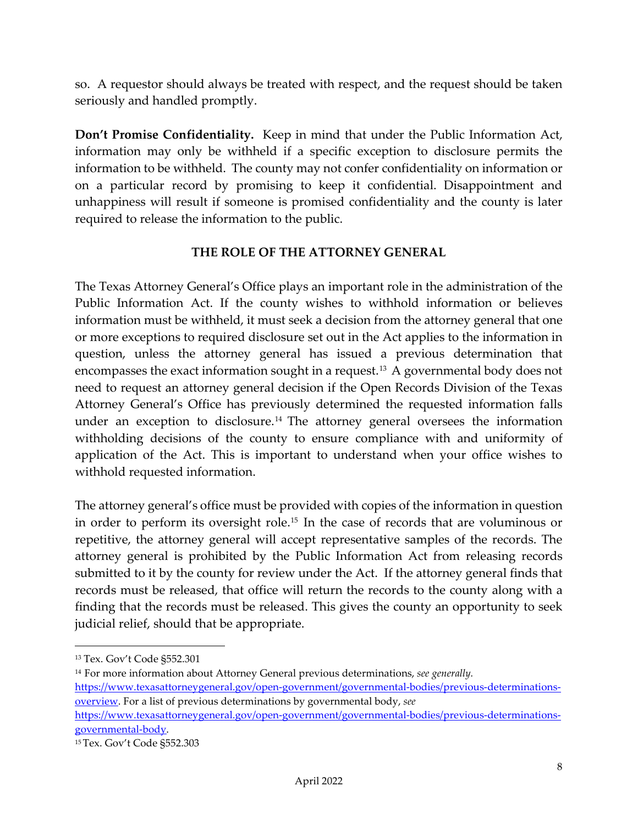so. A requestor should always be treated with respect, and the request should be taken seriously and handled promptly.

<span id="page-8-0"></span>**Don't Promise Confidentiality.** Keep in mind that under the Public Information Act, information may only be withheld if a specific exception to disclosure permits the information to be withheld. The county may not confer confidentiality on information or on a particular record by promising to keep it confidential. Disappointment and unhappiness will result if someone is promised confidentiality and the county is later required to release the information to the public.

#### **THE ROLE OF THE ATTORNEY GENERAL**

<span id="page-8-1"></span>The Texas Attorney General's Office plays an important role in the administration of the Public Information Act. If the county wishes to withhold information or believes information must be withheld, it must seek a decision from the attorney general that one or more exceptions to required disclosure set out in the Act applies to the information in question, unless the attorney general has issued a previous determination that encompasses the exact information sought in a request. [13](#page-8-2) A governmental body does not need to request an attorney general decision if the Open Records Division of the Texas Attorney General's Office has previously determined the requested information falls under an exception to disclosure.<sup>[14](#page-8-3)</sup> The attorney general oversees the information withholding decisions of the county to ensure compliance with and uniformity of application of the Act. This is important to understand when your office wishes to withhold requested information.

The attorney general's office must be provided with copies of the information in question in order to perform its oversight role.[15](#page-8-4) In the case of records that are voluminous or repetitive, the attorney general will accept representative samples of the records. The attorney general is prohibited by the Public Information Act from releasing records submitted to it by the county for review under the Act. If the attorney general finds that records must be released, that office will return the records to the county along with a finding that the records must be released. This gives the county an opportunity to seek judicial relief, should that be appropriate.

<span id="page-8-2"></span><sup>13</sup> Tex. Gov't Code §552.301

<span id="page-8-3"></span><sup>14</sup> For more information about Attorney General previous determinations, *see generally.* 

[https://www.texasattorneygeneral.gov/open-government/governmental-bodies/previous-determinations](https://www.texasattorneygeneral.gov/open-government/governmental-bodies/previous-determinations-overview)[overview.](https://www.texasattorneygeneral.gov/open-government/governmental-bodies/previous-determinations-overview) For a list of previous determinations by governmental body, *see* 

[https://www.texasattorneygeneral.gov/open-government/governmental-bodies/previous-determinations](https://www.texasattorneygeneral.gov/open-government/governmental-bodies/previous-determinations-governmental-body)[governmental-body.](https://www.texasattorneygeneral.gov/open-government/governmental-bodies/previous-determinations-governmental-body)

<span id="page-8-4"></span><sup>15</sup> Tex. Gov't Code §552.303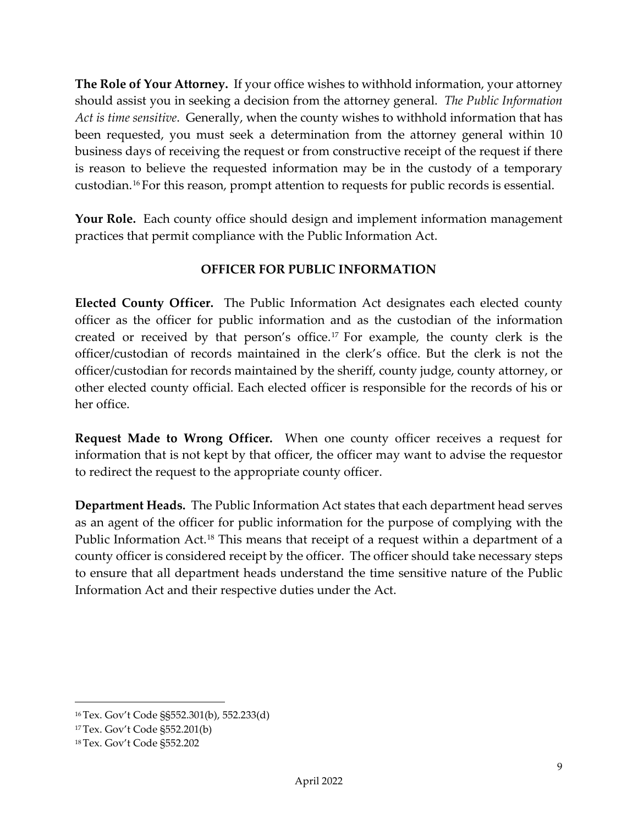<span id="page-9-0"></span>**The Role of Your Attorney.** If your office wishes to withhold information, your attorney should assist you in seeking a decision from the attorney general. *The Public Information Act is time sensitive*. Generally, when the county wishes to withhold information that has been requested, you must seek a determination from the attorney general within 10 business days of receiving the request or from constructive receipt of the request if there is reason to believe the requested information may be in the custody of a temporary custodian.[16](#page-9-6) For this reason, prompt attention to requests for public records is essential.

<span id="page-9-1"></span>**Your Role.** Each county office should design and implement information management practices that permit compliance with the Public Information Act.

## **OFFICER FOR PUBLIC INFORMATION**

<span id="page-9-3"></span><span id="page-9-2"></span>**Elected County Officer.** The Public Information Act designates each elected county officer as the officer for public information and as the custodian of the information created or received by that person's office.[17](#page-9-7) For example, the county clerk is the officer/custodian of records maintained in the clerk's office. But the clerk is not the officer/custodian for records maintained by the sheriff, county judge, county attorney, or other elected county official. Each elected officer is responsible for the records of his or her office.

<span id="page-9-4"></span>**Request Made to Wrong Officer.** When one county officer receives a request for information that is not kept by that officer, the officer may want to advise the requestor to redirect the request to the appropriate county officer.

<span id="page-9-5"></span>**Department Heads.** The Public Information Act states that each department head serves as an agent of the officer for public information for the purpose of complying with the Public Information Act.<sup>[18](#page-9-8)</sup> This means that receipt of a request within a department of a county officer is considered receipt by the officer. The officer should take necessary steps to ensure that all department heads understand the time sensitive nature of the Public Information Act and their respective duties under the Act.

<span id="page-9-6"></span><sup>16</sup> Tex. Gov't Code §§552.301(b), 552.233(d)

<span id="page-9-7"></span><sup>17</sup> Tex. Gov't Code §552.201(b)

<span id="page-9-8"></span><sup>18</sup> Tex. Gov't Code §552.202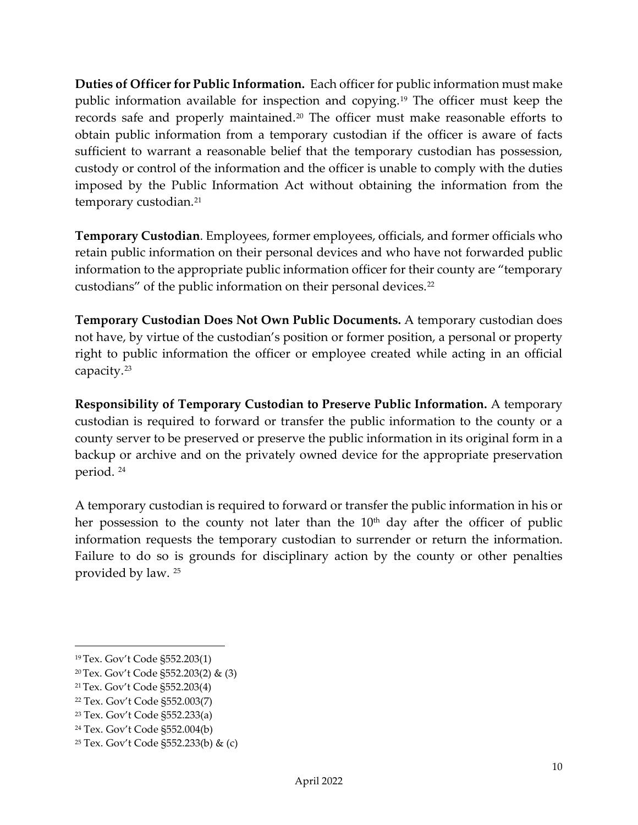<span id="page-10-0"></span>**Duties of Officer for Public Information.** Each officer for public information must make public information available for inspection and copying.[19](#page-10-1) The officer must keep the records safe and properly maintained.[20](#page-10-2) The officer must make reasonable efforts to obtain public information from a temporary custodian if the officer is aware of facts sufficient to warrant a reasonable belief that the temporary custodian has possession, custody or control of the information and the officer is unable to comply with the duties imposed by the Public Information Act without obtaining the information from the temporary custodian.<sup>[21](#page-10-3)</sup>

**Temporary Custodian**. Employees, former employees, officials, and former officials who retain public information on their personal devices and who have not forwarded public information to the appropriate public information officer for their county are "temporary custodians" of the public information on their personal devices.<sup>[22](#page-10-4)</sup>

**Temporary Custodian Does Not Own Public Documents.** A temporary custodian does not have, by virtue of the custodian's position or former position, a personal or property right to public information the officer or employee created while acting in an official capacity.[23](#page-10-5)

**Responsibility of Temporary Custodian to Preserve Public Information.** A temporary custodian is required to forward or transfer the public information to the county or a county server to be preserved or preserve the public information in its original form in a backup or archive and on the privately owned device for the appropriate preservation period. [24](#page-10-6)

A temporary custodian is required to forward or transfer the public information in his or her possession to the county not later than the  $10<sup>th</sup>$  day after the officer of public information requests the temporary custodian to surrender or return the information. Failure to do so is grounds for disciplinary action by the county or other penalties provided by law. [25](#page-10-7)

<span id="page-10-1"></span><sup>19</sup> Tex. Gov't Code §552.203(1)

<span id="page-10-2"></span><sup>20</sup> Tex. Gov't Code §552.203(2) & (3)

<span id="page-10-3"></span><sup>21</sup> Tex. Gov't Code §552.203(4)

<span id="page-10-4"></span><sup>22</sup> Tex. Gov't Code §552.003(7)

<span id="page-10-5"></span><sup>23</sup> Tex. Gov't Code §552.233(a)

<span id="page-10-6"></span><sup>24</sup> Tex. Gov't Code §552.004(b)

<span id="page-10-7"></span><sup>25</sup> Tex. Gov't Code §552.233(b) & (c)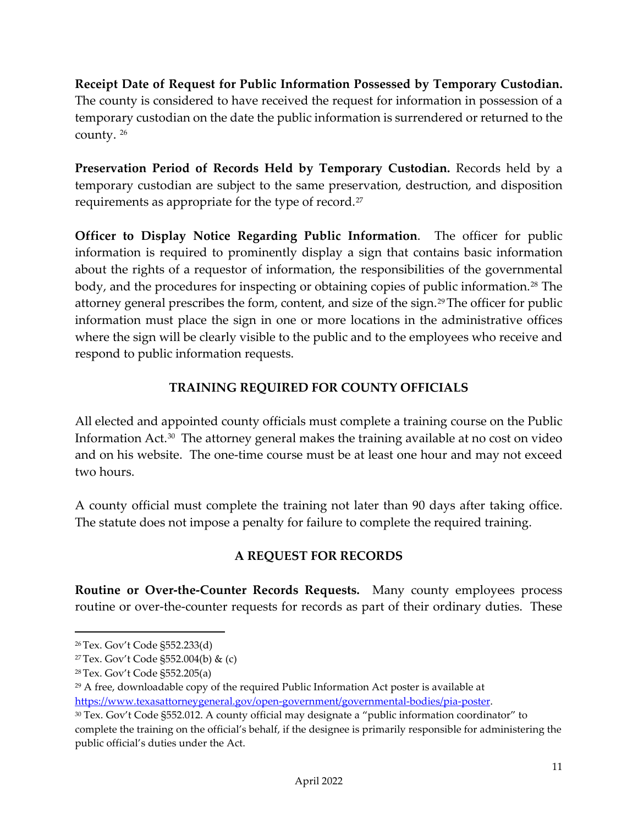**Receipt Date of Request for Public Information Possessed by Temporary Custodian.** The county is considered to have received the request for information in possession of a temporary custodian on the date the public information is surrendered or returned to the county. [26](#page-11-4)

**Preservation Period of Records Held by Temporary Custodian.** Records held by a temporary custodian are subject to the same preservation, destruction, and disposition requirements as appropriate for the type of record.<sup>[27](#page-11-5)</sup>

<span id="page-11-0"></span>**Officer to Display Notice Regarding Public Information**. The officer for public information is required to prominently display a sign that contains basic information about the rights of a requestor of information, the responsibilities of the governmental body, and the procedures for inspecting or obtaining copies of public information.<sup>[28](#page-11-6)</sup> The attorney general prescribes the form, content, and size of the sign.<sup>[29](#page-11-7)</sup>The officer for public information must place the sign in one or more locations in the administrative offices where the sign will be clearly visible to the public and to the employees who receive and respond to public information requests.

## **TRAINING REQUIRED FOR COUNTY OFFICIALS**

<span id="page-11-1"></span>All elected and appointed county officials must complete a training course on the Public Information  $Act.^{30}$  $Act.^{30}$  $Act.^{30}$  The attorney general makes the training available at no cost on video and on his website. The one-time course must be at least one hour and may not exceed two hours.

A county official must complete the training not later than 90 days after taking office. The statute does not impose a penalty for failure to complete the required training.

## **A REQUEST FOR RECORDS**

<span id="page-11-3"></span><span id="page-11-2"></span>**Routine or Over-the-Counter Records Requests.** Many county employees process routine or over-the-counter requests for records as part of their ordinary duties. These

<span id="page-11-4"></span><sup>26</sup> Tex. Gov't Code §552.233(d)

<span id="page-11-5"></span><sup>27</sup> Tex. Gov't Code §552.004(b) & (c)

<span id="page-11-6"></span><sup>28</sup> Tex. Gov't Code §552.205(a)

<span id="page-11-7"></span><sup>&</sup>lt;sup>29</sup> A free, downloadable copy of the required Public Information Act poster is available at [https://www.texasattorneygeneral.gov/open-government/governmental-bodies/pia-poster.](https://www.texasattorneygeneral.gov/open-government/governmental-bodies/pia-poster)

<span id="page-11-8"></span><sup>30</sup> Tex. Gov't Code §552.012. A county official may designate a "public information coordinator" to complete the training on the official's behalf, if the designee is primarily responsible for administering the public official's duties under the Act.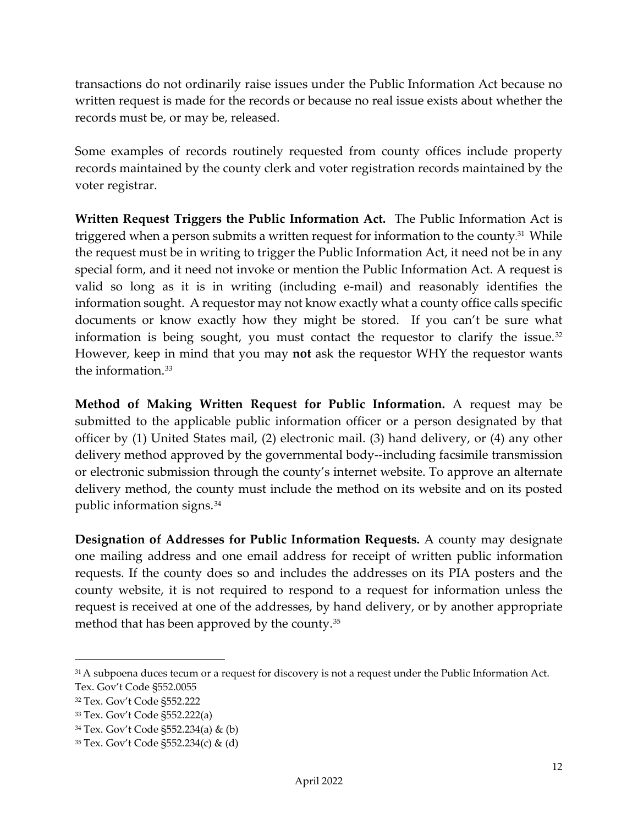transactions do not ordinarily raise issues under the Public Information Act because no written request is made for the records or because no real issue exists about whether the records must be, or may be, released.

Some examples of records routinely requested from county offices include property records maintained by the county clerk and voter registration records maintained by the voter registrar.

<span id="page-12-0"></span>**Written Request Triggers the Public Information Act.** The Public Information Act is triggered when a person submits a written request for information to the county.<sup>[31](#page-12-1)</sup> While the request must be in writing to trigger the Public Information Act, it need not be in any special form, and it need not invoke or mention the Public Information Act. A request is valid so long as it is in writing (including e-mail) and reasonably identifies the information sought. A requestor may not know exactly what a county office calls specific documents or know exactly how they might be stored. If you can't be sure what information is being sought, you must contact the requestor to clarify the issue.<sup>[32](#page-12-2)</sup> However, keep in mind that you may **not** ask the requestor WHY the requestor wants the information.[33](#page-12-3)

**Method of Making Written Request for Public Information.** A request may be submitted to the applicable public information officer or a person designated by that officer by (1) United States mail, (2) electronic mail. (3) hand delivery, or (4) any other delivery method approved by the governmental body--including facsimile transmission or electronic submission through the county's internet website. To approve an alternate delivery method, the county must include the method on its website and on its posted public information signs.[34](#page-12-4)

**Designation of Addresses for Public Information Requests.** A county may designate one mailing address and one email address for receipt of written public information requests. If the county does so and includes the addresses on its PIA posters and the county website, it is not required to respond to a request for information unless the request is received at one of the addresses, by hand delivery, or by another appropriate method that has been approved by the county. [35](#page-12-5)

<span id="page-12-1"></span><sup>&</sup>lt;sup>31</sup> A subpoena duces tecum or a request for discovery is not a request under the Public Information Act. Tex. Gov't Code §552.0055

<span id="page-12-2"></span><sup>32</sup> Tex. Gov't Code §552.222

<span id="page-12-3"></span><sup>33</sup> Tex. Gov't Code §552.222(a)

<span id="page-12-4"></span><sup>34</sup> Tex. Gov't Code §552.234(a) & (b)

<span id="page-12-5"></span><sup>35</sup> Tex. Gov't Code §552.234(c) & (d)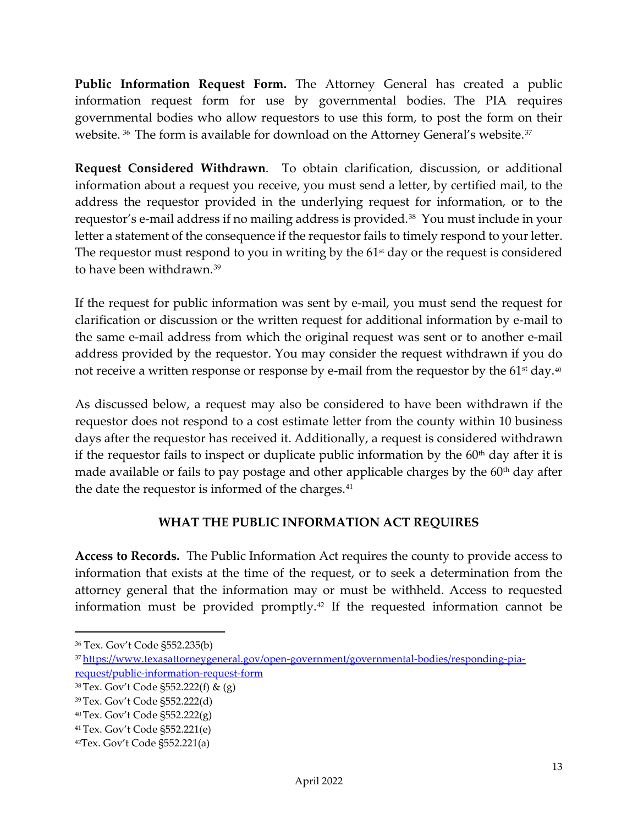**Public Information Request Form.** The Attorney General has created a public information request form for use by governmental bodies. The PIA requires governmental bodies who allow requestors to use this form, to post the form on their website. <sup>[36](#page-13-3)</sup> The form is available for download on the Attorney General's website.<sup>37</sup>

<span id="page-13-0"></span>**Request Considered Withdrawn**. To obtain clarification, discussion, or additional information about a request you receive, you must send a letter, by certified mail, to the address the requestor provided in the underlying request for information, or to the requestor's e-mail address if no mailing address is provided.<sup>[38](#page-13-5)</sup> You must include in your letter a statement of the consequence if the requestor fails to timely respond to your letter. The requestor must respond to you in writing by the  $61<sup>st</sup>$  day or the request is considered to have been withdrawn.<sup>[39](#page-13-6)</sup>

If the request for public information was sent by e-mail, you must send the request for clarification or discussion or the written request for additional information by e-mail to the same e-mail address from which the original request was sent or to another e-mail address provided by the requestor. You may consider the request withdrawn if you do not receive a written response or response by e-mail from the requestor by the  $61<sup>st</sup>$  day.<sup>[40](#page-13-7)</sup>

As discussed below, a request may also be considered to have been withdrawn if the requestor does not respond to a cost estimate letter from the county within 10 business days after the requestor has received it. Additionally, a request is considered withdrawn if the requestor fails to inspect or duplicate public information by the  $60<sup>th</sup>$  day after it is made available or fails to pay postage and other applicable charges by the 60<sup>th</sup> day after the date the requestor is informed of the charges.<sup>[41](#page-13-8)</sup>

## **WHAT THE PUBLIC INFORMATION ACT REQUIRES**

<span id="page-13-2"></span><span id="page-13-1"></span>**Access to Records.** The Public Information Act requires the county to provide access to information that exists at the time of the request, or to seek a determination from the attorney general that the information may or must be withheld. Access to requested information must be provided promptly[.42](#page-13-9) If the requested information cannot be

<span id="page-13-3"></span><sup>36</sup> Tex. Gov't Code §552.235(b)

<span id="page-13-4"></span><sup>3</sup>[7 https://www.texasattorneygeneral.gov/open-government/governmental-bodies/responding-pia](https://www.texasattorneygeneral.gov/open-government/governmental-bodies/responding-pia-request/public-information-request-form)[request/public-information-request-form](https://www.texasattorneygeneral.gov/open-government/governmental-bodies/responding-pia-request/public-information-request-form)

<span id="page-13-5"></span><sup>38</sup> Tex. Gov't Code §552.222(f) & (g)

<span id="page-13-6"></span><sup>39</sup> Tex. Gov't Code §552.222(d)

<span id="page-13-7"></span><sup>40</sup> Tex. Gov't Code §552.222(g)

<span id="page-13-8"></span><sup>41</sup> Tex. Gov't Code §552.221(e)

<span id="page-13-9"></span><sup>42</sup>Tex. Gov't Code §552.221(a)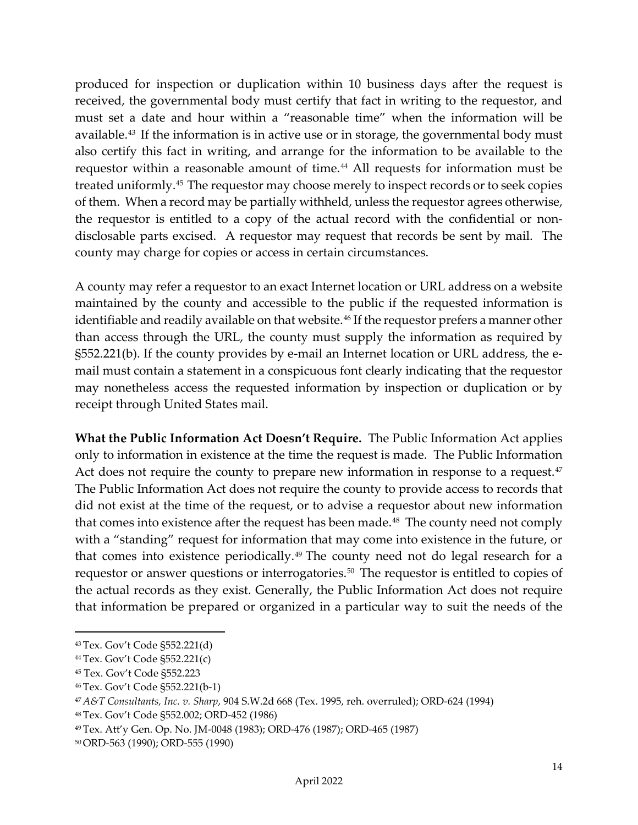produced for inspection or duplication within 10 business days after the request is received, the governmental body must certify that fact in writing to the requestor, and must set a date and hour within a "reasonable time" when the information will be available.[43](#page-14-1) If the information is in active use or in storage, the governmental body must also certify this fact in writing, and arrange for the information to be available to the requestor within a reasonable amount of time.<sup>[44](#page-14-2)</sup> All requests for information must be treated uniformly.[45](#page-14-3) The requestor may choose merely to inspect records or to seek copies of them. When a record may be partially withheld, unless the requestor agrees otherwise, the requestor is entitled to a copy of the actual record with the confidential or nondisclosable parts excised. A requestor may request that records be sent by mail. The county may charge for copies or access in certain circumstances.

A county may refer a requestor to an exact Internet location or URL address on a website maintained by the county and accessible to the public if the requested information is identifiable and readily available on that website.<sup>[46](#page-14-4)</sup> If the requestor prefers a manner other than access through the URL, the county must supply the information as required by §552.221(b). If the county provides by e-mail an Internet location or URL address, the email must contain a statement in a conspicuous font clearly indicating that the requestor may nonetheless access the requested information by inspection or duplication or by receipt through United States mail.

<span id="page-14-0"></span>**What the Public Information Act Doesn't Require.** The Public Information Act applies only to information in existence at the time the request is made. The Public Information Act does not require the county to prepare new information in response to a request.<sup>[47](#page-14-5)</sup> The Public Information Act does not require the county to provide access to records that did not exist at the time of the request, or to advise a requestor about new information that comes into existence after the request has been made.<sup>48</sup> The county need not comply with a "standing" request for information that may come into existence in the future, or that comes into existence periodically.[49](#page-14-7) The county need not do legal research for a requestor or answer questions or interrogatories.<sup>[50](#page-14-8)</sup> The requestor is entitled to copies of the actual records as they exist. Generally, the Public Information Act does not require that information be prepared or organized in a particular way to suit the needs of the

<span id="page-14-1"></span><sup>43</sup> Tex. Gov't Code §552.221(d)

<span id="page-14-2"></span><sup>44</sup> Tex. Gov't Code §552.221(c)

<span id="page-14-3"></span><sup>45</sup> Tex. Gov't Code §552.223

<span id="page-14-4"></span><sup>46</sup> Tex. Gov't Code §552.221(b-1)

<span id="page-14-5"></span><sup>47</sup> *A&T Consultants, Inc. v. Sharp*, 904 S.W.2d 668 (Tex. 1995, reh. overruled); ORD-624 (1994)

<span id="page-14-6"></span><sup>48</sup> Tex. Gov't Code §552.002; ORD-452 (1986)

<span id="page-14-7"></span><sup>49</sup> Tex. Att'y Gen. Op. No. JM-0048 (1983); ORD-476 (1987); ORD-465 (1987)

<span id="page-14-8"></span><sup>50</sup> ORD-563 (1990); ORD-555 (1990)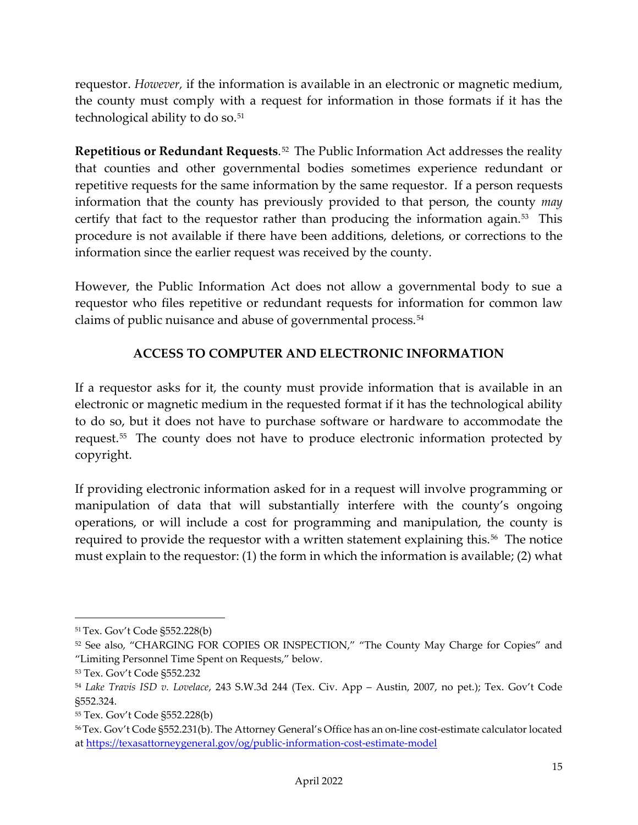requestor. *However,* if the information is available in an electronic or magnetic medium, the county must comply with a request for information in those formats if it has the technological ability to do so.<sup>[51](#page-15-2)</sup>

<span id="page-15-0"></span>**Repetitious or Redundant Requests**.[52](#page-15-3) The Public Information Act addresses the reality that counties and other governmental bodies sometimes experience redundant or repetitive requests for the same information by the same requestor. If a person requests information that the county has previously provided to that person, the county *may* certify that fact to the requestor rather than producing the information again. $53$  This procedure is not available if there have been additions, deletions, or corrections to the information since the earlier request was received by the county.

However, the Public Information Act does not allow a governmental body to sue a requestor who files repetitive or redundant requests for information for common law claims of public nuisance and abuse of governmental process.<sup>[54](#page-15-5)</sup>

## **ACCESS TO COMPUTER AND ELECTRONIC INFORMATION**

<span id="page-15-1"></span>If a requestor asks for it, the county must provide information that is available in an electronic or magnetic medium in the requested format if it has the technological ability to do so, but it does not have to purchase software or hardware to accommodate the request.[55](#page-15-6) The county does not have to produce electronic information protected by copyright.

If providing electronic information asked for in a request will involve programming or manipulation of data that will substantially interfere with the county's ongoing operations, or will include a cost for programming and manipulation, the county is required to provide the requestor with a written statement explaining this.<sup>56</sup> The notice must explain to the requestor: (1) the form in which the information is available; (2) what

<span id="page-15-2"></span><sup>51</sup> Tex. Gov't Code §552.228(b)

<span id="page-15-3"></span><sup>&</sup>lt;sup>52</sup> See also, "CHARGING FOR COPIES OR INSPECTION," "The County May Charge for Copies" and "Limiting Personnel Time Spent on Requests," below.

<span id="page-15-4"></span><sup>53</sup> Tex. Gov't Code §552.232

<span id="page-15-5"></span><sup>54</sup> *Lake Travis ISD v. Lovelace*, 243 S.W.3d 244 (Tex. Civ. App – Austin, 2007, no pet.); Tex. Gov't Code §552.324.

<span id="page-15-6"></span><sup>55</sup> Tex. Gov't Code §552.228(b)

<span id="page-15-7"></span><sup>56</sup> Tex. Gov't Code §552.231(b). The Attorney General's Office has an on-line cost-estimate calculator located at<https://texasattorneygeneral.gov/og/public-information-cost-estimate-model>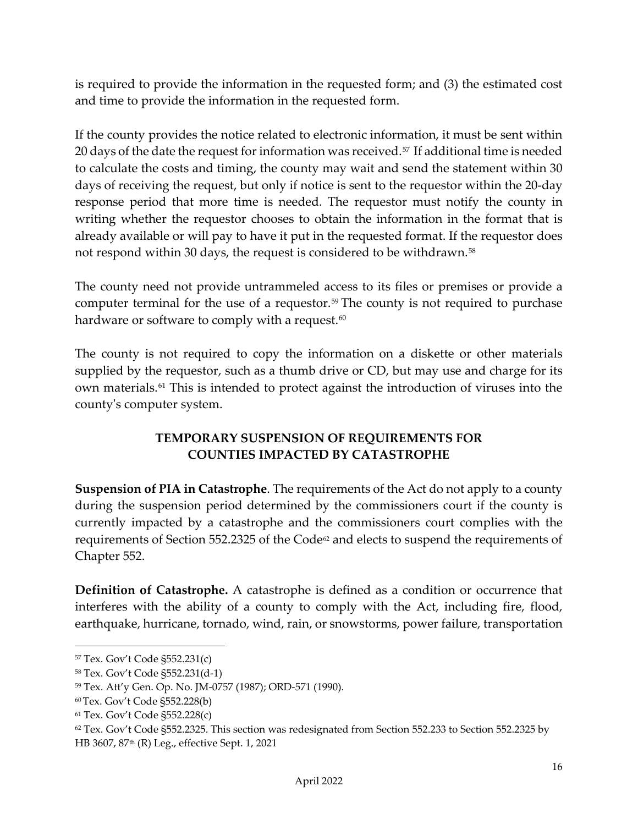is required to provide the information in the requested form; and (3) the estimated cost and time to provide the information in the requested form.

If the county provides the notice related to electronic information, it must be sent within 20 days of the date the request for information was received.<sup>[57](#page-16-2)</sup> If additional time is needed to calculate the costs and timing, the county may wait and send the statement within 30 days of receiving the request, but only if notice is sent to the requestor within the 20-day response period that more time is needed. The requestor must notify the county in writing whether the requestor chooses to obtain the information in the format that is already available or will pay to have it put in the requested format. If the requestor does not respond within 30 days, the request is considered to be withdrawn.<sup>58</sup>

The county need not provide untrammeled access to its files or premises or provide a computer terminal for the use of a requestor.<sup>[59](#page-16-4)</sup> The county is not required to purchase hardware or software to comply with a request.<sup>[60](#page-16-5)</sup>

The county is not required to copy the information on a diskette or other materials supplied by the requestor, such as a thumb drive or CD, but may use and charge for its own materials.[61](#page-16-6) This is intended to protect against the introduction of viruses into the county's computer system.

## **TEMPORARY SUSPENSION OF REQUIREMENTS FOR COUNTIES IMPACTED BY CATASTROPHE**

<span id="page-16-1"></span><span id="page-16-0"></span>**Suspension of PIA in Catastrophe**. The requirements of the Act do not apply to a county during the suspension period determined by the commissioners court if the county is currently impacted by a catastrophe and the commissioners court complies with the requirements of Section 552.2325 of the Code<sup>[62](#page-16-7)</sup> and elects to suspend the requirements of Chapter 552.

**Definition of Catastrophe.** A catastrophe is defined as a condition or occurrence that interferes with the ability of a county to comply with the Act, including fire, flood, earthquake, hurricane, tornado, wind, rain, or snowstorms, power failure, transportation

<span id="page-16-2"></span><sup>57</sup> Tex. Gov't Code §552.231(c)

<span id="page-16-3"></span><sup>58</sup> Tex. Gov't Code §552.231(d-1)

<span id="page-16-4"></span><sup>59</sup> Tex. Att'y Gen. Op. No. JM-0757 (1987); ORD-571 (1990).

<span id="page-16-5"></span><sup>60</sup> Tex. Gov't Code §552.228(b)

<span id="page-16-6"></span><sup>61</sup> Tex. Gov't Code §552.228(c)

<span id="page-16-7"></span><sup>62</sup> Tex. Gov't Code §552.2325. This section was redesignated from Section 552.233 to Section 552.2325 by HB 3607, 87th (R) Leg., effective Sept. 1, 2021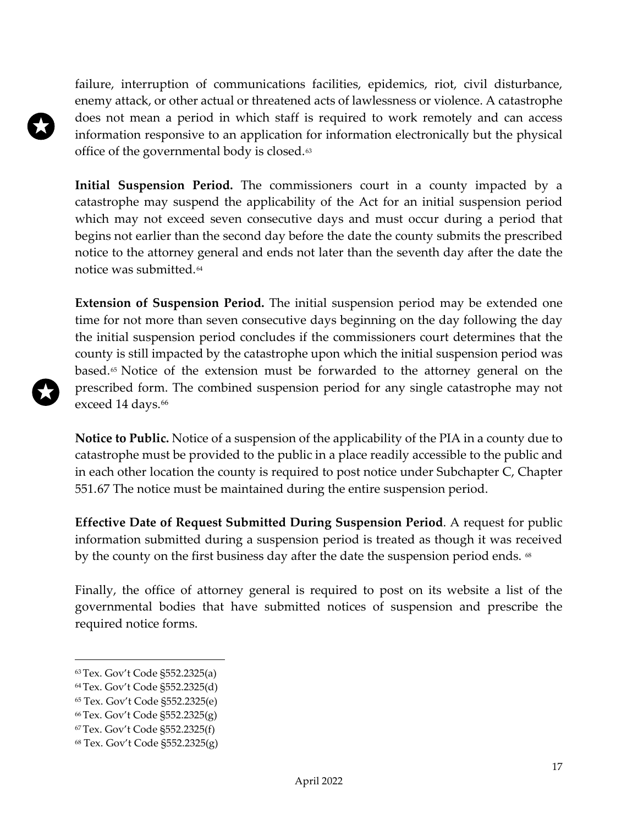failure, interruption of communications facilities, epidemics, riot, civil disturbance, enemy attack, or other actual or threatened acts of lawlessness or violence. A catastrophe does not mean a period in which staff is required to work remotely and can access information responsive to an application for information electronically but the physical office of the governmental body is closed.<sup>[63](#page-17-0)</sup>

**Initial Suspension Period.** The commissioners court in a county impacted by a catastrophe may suspend the applicability of the Act for an initial suspension period which may not exceed seven consecutive days and must occur during a period that begins not earlier than the second day before the date the county submits the prescribed notice to the attorney general and ends not later than the seventh day after the date the notice was submitted.[64](#page-17-1)

**Extension of Suspension Period.** The initial suspension period may be extended one time for not more than seven consecutive days beginning on the day following the day the initial suspension period concludes if the commissioners court determines that the county is still impacted by the catastrophe upon which the initial suspension period was based.[65](#page-17-2) Notice of the extension must be forwarded to the attorney general on the prescribed form. The combined suspension period for any single catastrophe may not exceed 14 days.<sup>[66](#page-17-3)</sup>

**Notice to Public.** Notice of a suspension of the applicability of the PIA in a county due to catastrophe must be provided to the public in a place readily accessible to the public and in each other location the county is required to post notice under Subchapter C, Chapter 551[.67](#page-17-4) The notice must be maintained during the entire suspension period.

**Effective Date of Request Submitted During Suspension Period**. A request for public information submitted during a suspension period is treated as though it was received by the county on the first business day after the date the suspension period ends. <sup>[68](#page-17-5)</sup>

Finally, the office of attorney general is required to post on its website a list of the governmental bodies that have submitted notices of suspension and prescribe the required notice forms.

<span id="page-17-0"></span><sup>63</sup> Tex. Gov't Code §552.2325(a)

<span id="page-17-1"></span><sup>64</sup> Tex. Gov't Code §552.2325(d)

<span id="page-17-2"></span><sup>65</sup> Tex. Gov't Code §552.2325(e)

<span id="page-17-3"></span><sup>66</sup> Tex. Gov't Code §552.2325(g)

<span id="page-17-4"></span><sup>67</sup> Tex. Gov't Code §552.2325(f)

<span id="page-17-5"></span><sup>68</sup> Tex. Gov't Code §552.2325(g)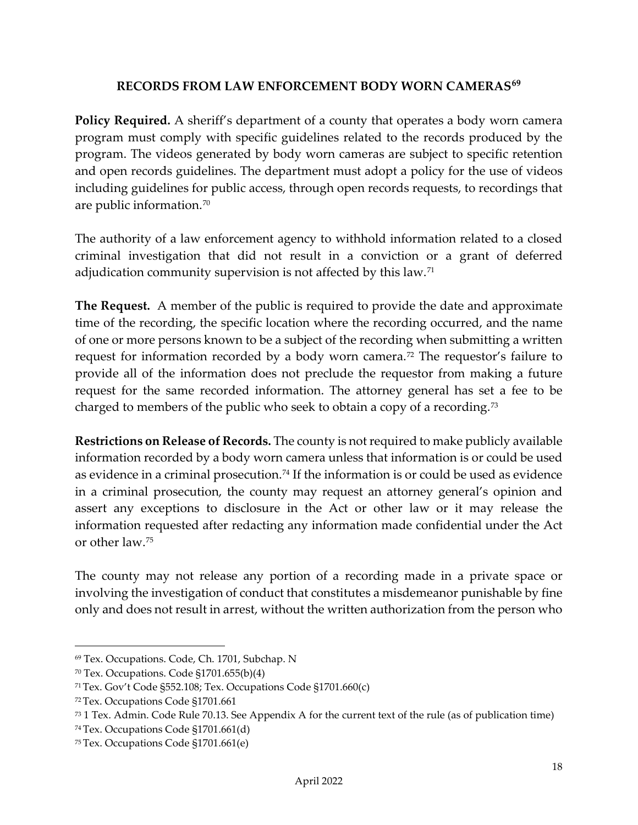## **RECORDS FROM LAW ENFORCEMENT BODY WORN CAMERAS[69](#page-18-4)**

<span id="page-18-1"></span><span id="page-18-0"></span>**Policy Required.** A sheriff's department of a county that operates a body worn camera program must comply with specific guidelines related to the records produced by the program. The videos generated by body worn cameras are subject to specific retention and open records guidelines. The department must adopt a policy for the use of videos including guidelines for public access, through open records requests, to recordings that are public information.[70](#page-18-5)

The authority of a law enforcement agency to withhold information related to a closed criminal investigation that did not result in a conviction or a grant of deferred adjudication community supervision is not affected by this law.[71](#page-18-6)

<span id="page-18-2"></span>**The Request.** A member of the public is required to provide the date and approximate time of the recording, the specific location where the recording occurred, and the name of one or more persons known to be a subject of the recording when submitting a written request for information recorded by a body worn camera.<sup>[72](#page-18-7)</sup> The requestor's failure to provide all of the information does not preclude the requestor from making a future request for the same recorded information. The attorney general has set a fee to be charged to members of the public who seek to obtain a copy of a recording.[73](#page-18-8)

<span id="page-18-3"></span>**Restrictions on Release of Records.** The county is not required to make publicly available information recorded by a body worn camera unless that information is or could be used as evidence in a criminal prosecution.<sup>[74](#page-18-9)</sup> If the information is or could be used as evidence in a criminal prosecution, the county may request an attorney general's opinion and assert any exceptions to disclosure in the Act or other law or it may release the information requested after redacting any information made confidential under the Act or other law.[75](#page-18-10)

The county may not release any portion of a recording made in a private space or involving the investigation of conduct that constitutes a misdemeanor punishable by fine only and does not result in arrest, without the written authorization from the person who

<span id="page-18-4"></span><sup>69</sup> Tex. Occupations. Code, Ch. 1701, Subchap. N

<span id="page-18-5"></span> $70$  Tex. Occupations. Code §1701.655(b)(4)

<span id="page-18-6"></span><sup>71</sup> Tex. Gov't Code §552.108; Tex. Occupations Code §1701.660(c)

<span id="page-18-7"></span><sup>72</sup> Tex. Occupations Code §1701.661

<span id="page-18-8"></span><sup>73</sup> 1 Tex. Admin. Code Rule 70.13. See Appendix A for the current text of the rule (as of publication time)

<span id="page-18-9"></span><sup>74</sup> Tex. Occupations Code §1701.661(d)

<span id="page-18-10"></span><sup>75</sup> Tex. Occupations Code §1701.661(e)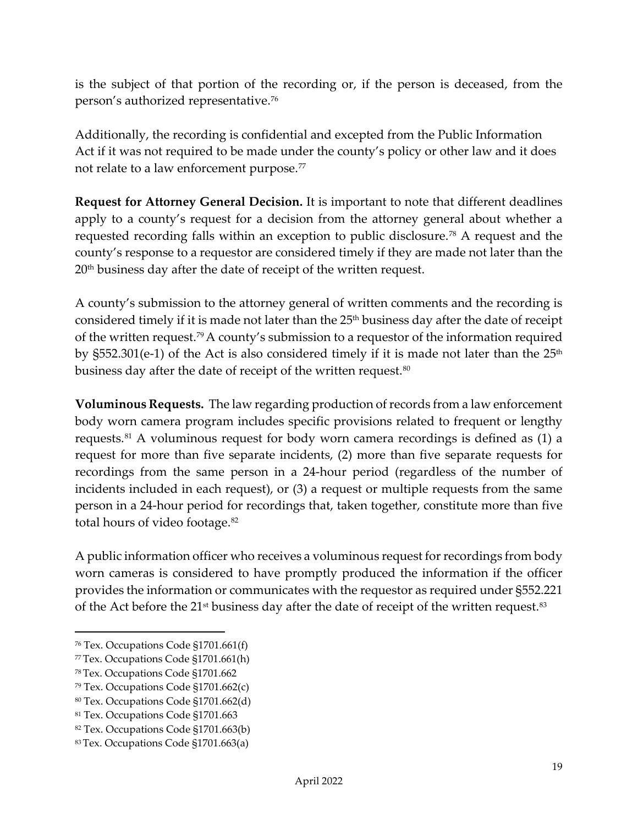is the subject of that portion of the recording or, if the person is deceased, from the person's authorized representative.[76](#page-19-2)

Additionally, the recording is confidential and excepted from the Public Information Act if it was not required to be made under the county's policy or other law and it does not relate to a law enforcement purpose.<sup>[77](#page-19-3)</sup>

<span id="page-19-0"></span>**Request for Attorney General Decision.** It is important to note that different deadlines apply to a county's request for a decision from the attorney general about whether a requested recording falls within an exception to public disclosure.[78](#page-19-4) A request and the county's response to a requestor are considered timely if they are made not later than the 20<sup>th</sup> business day after the date of receipt of the written request.

A county's submission to the attorney general of written comments and the recording is considered timely if it is made not later than the 25<sup>th</sup> business day after the date of receipt of the written request.[79](#page-19-5)A county's submission to a requestor of the information required by  $\S$ 552.301(e-1) of the Act is also considered timely if it is made not later than the  $25<sup>th</sup>$ business day after the date of receipt of the written request.<sup>[80](#page-19-6)</sup>

<span id="page-19-1"></span>**Voluminous Requests.** The law regarding production of records from a law enforcement body worn camera program includes specific provisions related to frequent or lengthy requests.[81](#page-19-7) A voluminous request for body worn camera recordings is defined as (1) a request for more than five separate incidents, (2) more than five separate requests for recordings from the same person in a 24-hour period (regardless of the number of incidents included in each request), or (3) a request or multiple requests from the same person in a 24-hour period for recordings that, taken together, constitute more than five total hours of video footage.<sup>[82](#page-19-8)</sup>

A public information officer who receives a voluminous request for recordings from body worn cameras is considered to have promptly produced the information if the officer provides the information or communicates with the requestor as required under §552.221 of the Act before the 21<sup>st</sup> business day after the date of receipt of the written request.<sup>[83](#page-19-9)</sup>

<span id="page-19-2"></span><sup>76</sup> Tex. Occupations Code §1701.661(f)

<span id="page-19-3"></span><sup>77</sup> Tex. Occupations Code §1701.661(h)

<span id="page-19-4"></span><sup>78</sup> Tex. Occupations Code §1701.662

<span id="page-19-5"></span><sup>79</sup> Tex. Occupations Code §1701.662(c)

<span id="page-19-6"></span><sup>80</sup> Tex. Occupations Code §1701.662(d)

<span id="page-19-7"></span><sup>81</sup> Tex. Occupations Code §1701.663

<span id="page-19-8"></span><sup>82</sup> Tex. Occupations Code §1701.663(b)

<span id="page-19-9"></span><sup>83</sup> Tex. Occupations Code §1701.663(a)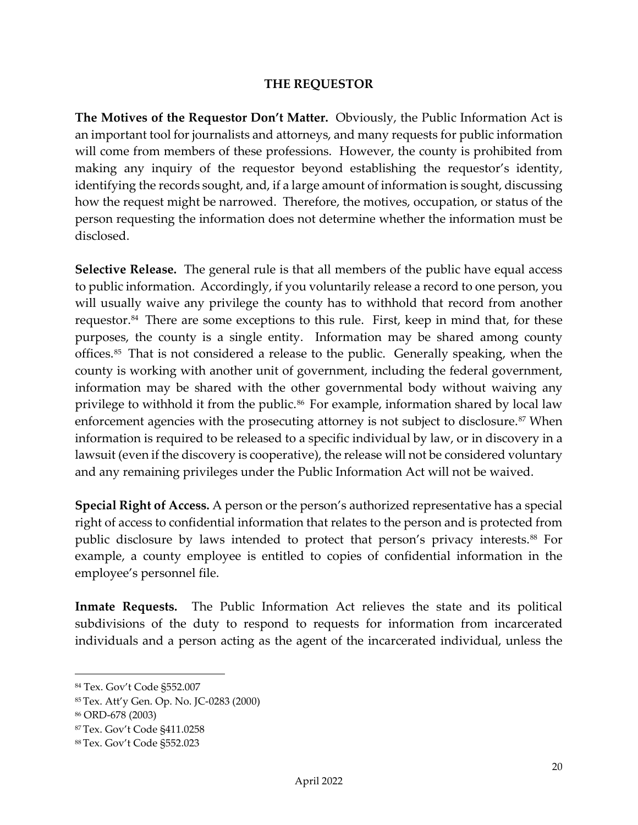#### **THE REQUESTOR**

<span id="page-20-1"></span><span id="page-20-0"></span>**The Motives of the Requestor Don't Matter.** Obviously, the Public Information Act is an important tool for journalists and attorneys, and many requests for public information will come from members of these professions. However, the county is prohibited from making any inquiry of the requestor beyond establishing the requestor's identity, identifying the records sought, and, if a large amount of information is sought, discussing how the request might be narrowed. Therefore, the motives, occupation, or status of the person requesting the information does not determine whether the information must be disclosed.

<span id="page-20-2"></span>**Selective Release.** The general rule is that all members of the public have equal access to public information. Accordingly, if you voluntarily release a record to one person, you will usually waive any privilege the county has to withhold that record from another requestor.<sup>[84](#page-20-5)</sup> There are some exceptions to this rule. First, keep in mind that, for these purposes, the county is a single entity. Information may be shared among county offices.[85](#page-20-6) That is not considered a release to the public. Generally speaking, when the county is working with another unit of government, including the federal government, information may be shared with the other governmental body without waiving any privilege to withhold it from the public.<sup>[86](#page-20-7)</sup> For example, information shared by local law enforcement agencies with the prosecuting attorney is not subject to disclosure.<sup>[87](#page-20-8)</sup> When information is required to be released to a specific individual by law, or in discovery in a lawsuit (even if the discovery is cooperative), the release will not be considered voluntary and any remaining privileges under the Public Information Act will not be waived.

<span id="page-20-3"></span>**Special Right of Access.** A person or the person's authorized representative has a special right of access to confidential information that relates to the person and is protected from public disclosure by laws intended to protect that person's privacy interests.[88](#page-20-9) For example, a county employee is entitled to copies of confidential information in the employee's personnel file.

<span id="page-20-4"></span>**Inmate Requests.** The Public Information Act relieves the state and its political subdivisions of the duty to respond to requests for information from incarcerated individuals and a person acting as the agent of the incarcerated individual, unless the

<span id="page-20-5"></span><sup>84</sup> Tex. Gov't Code §552.007

<span id="page-20-6"></span><sup>85</sup> Tex. Att'y Gen. Op. No. JC-0283 (2000)

<span id="page-20-7"></span><sup>86</sup> ORD-678 (2003)

<span id="page-20-8"></span><sup>87</sup> Tex. Gov't Code §411.0258

<span id="page-20-9"></span><sup>88</sup> Tex. Gov't Code §552.023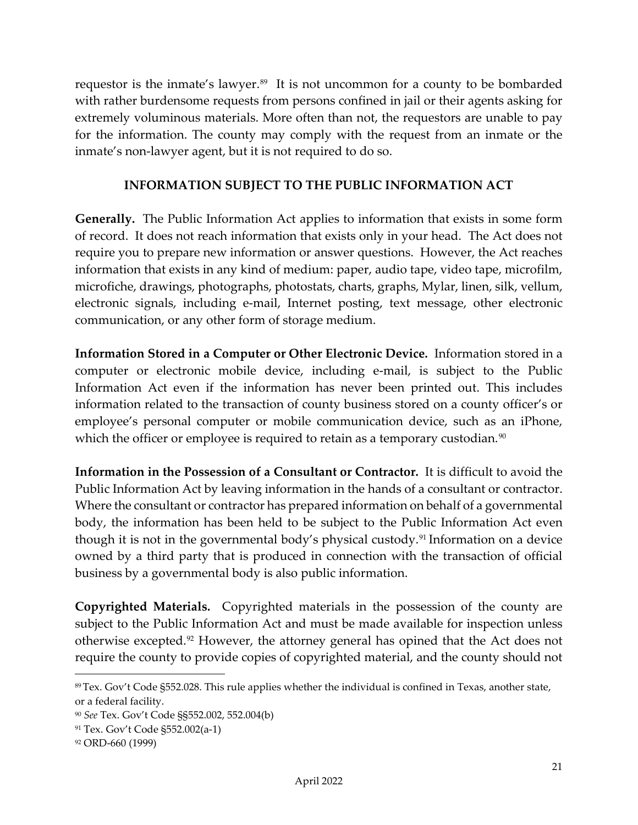requestor is the inmate's lawyer.<sup>89</sup> It is not uncommon for a county to be bombarded with rather burdensome requests from persons confined in jail or their agents asking for extremely voluminous materials. More often than not, the requestors are unable to pay for the information. The county may comply with the request from an inmate or the inmate's non-lawyer agent, but it is not required to do so.

## **INFORMATION SUBJECT TO THE PUBLIC INFORMATION ACT**

<span id="page-21-1"></span><span id="page-21-0"></span>**Generally.** The Public Information Act applies to information that exists in some form of record. It does not reach information that exists only in your head. The Act does not require you to prepare new information or answer questions. However, the Act reaches information that exists in any kind of medium: paper, audio tape, video tape, microfilm, microfiche, drawings, photographs, photostats, charts, graphs, Mylar, linen, silk, vellum, electronic signals, including e-mail, Internet posting, text message, other electronic communication, or any other form of storage medium.

<span id="page-21-2"></span>**Information Stored in a Computer or Other Electronic Device.** Information stored in a computer or electronic mobile device, including e-mail, is subject to the Public Information Act even if the information has never been printed out. This includes information related to the transaction of county business stored on a county officer's or employee's personal computer or mobile communication device, such as an iPhone, which the officer or employee is required to retain as a temporary custodian.<sup>[90](#page-21-6)</sup>

<span id="page-21-3"></span>**Information in the Possession of a Consultant or Contractor.** It is difficult to avoid the Public Information Act by leaving information in the hands of a consultant or contractor. Where the consultant or contractor has prepared information on behalf of a governmental body, the information has been held to be subject to the Public Information Act even though it is not in the governmental body's physical custody.<sup>91</sup> Information on a device owned by a third party that is produced in connection with the transaction of official business by a governmental body is also public information.

<span id="page-21-4"></span>**Copyrighted Materials.** Copyrighted materials in the possession of the county are subject to the Public Information Act and must be made available for inspection unless otherwise excepted.[92](#page-21-8) However, the attorney general has opined that the Act does not require the county to provide copies of copyrighted material, and the county should not

<span id="page-21-5"></span><sup>89</sup> Tex. Gov't Code §552.028. This rule applies whether the individual is confined in Texas, another state, or a federal facility.

<span id="page-21-6"></span><sup>90</sup> *See* Tex. Gov't Code §§552.002, 552.004(b)

<span id="page-21-7"></span><sup>91</sup> Tex. Gov't Code §552.002(a-1)

<span id="page-21-8"></span><sup>92</sup> ORD-660 (1999)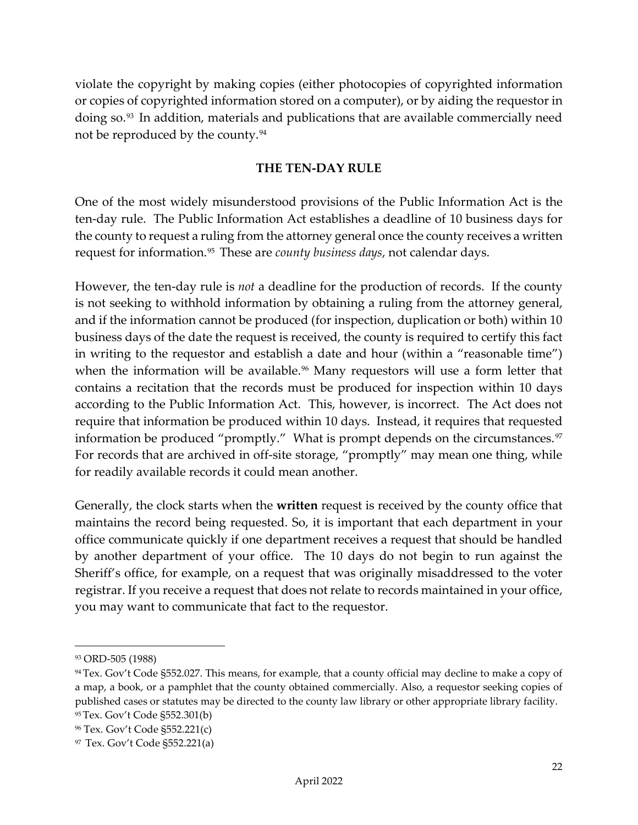violate the copyright by making copies (either photocopies of copyrighted information or copies of copyrighted information stored on a computer), or by aiding the requestor in doing so.[93](#page-22-1) In addition, materials and publications that are available commercially need not be reproduced by the county.[94](#page-22-2)

#### **THE TEN-DAY RULE**

<span id="page-22-0"></span>One of the most widely misunderstood provisions of the Public Information Act is the ten-day rule. The Public Information Act establishes a deadline of 10 business days for the county to request a ruling from the attorney general once the county receives a written request for information.[95](#page-22-3) These are *county business days*, not calendar days.

However, the ten-day rule is *not* a deadline for the production of records. If the county is not seeking to withhold information by obtaining a ruling from the attorney general, and if the information cannot be produced (for inspection, duplication or both) within 10 business days of the date the request is received, the county is required to certify this fact in writing to the requestor and establish a date and hour (within a "reasonable time") when the information will be available.<sup>[96](#page-22-4)</sup> Many requestors will use a form letter that contains a recitation that the records must be produced for inspection within 10 days according to the Public Information Act. This, however, is incorrect. The Act does not require that information be produced within 10 days. Instead, it requires that requested information be produced "promptly." What is prompt depends on the circumstances.<sup>[97](#page-22-5)</sup> For records that are archived in off-site storage, "promptly" may mean one thing, while for readily available records it could mean another.

Generally, the clock starts when the **written** request is received by the county office that maintains the record being requested. So, it is important that each department in your office communicate quickly if one department receives a request that should be handled by another department of your office. The 10 days do not begin to run against the Sheriff's office, for example, on a request that was originally misaddressed to the voter registrar. If you receive a request that does not relate to records maintained in your office, you may want to communicate that fact to the requestor.

<span id="page-22-1"></span><sup>93</sup> ORD-505 (1988)

<span id="page-22-2"></span><sup>94</sup> Tex. Gov't Code §552.027. This means, for example, that a county official may decline to make a copy of a map, a book, or a pamphlet that the county obtained commercially. Also, a requestor seeking copies of published cases or statutes may be directed to the county law library or other appropriate library facility. <sup>95</sup> Tex. Gov't Code §552.301(b)

<span id="page-22-4"></span><span id="page-22-3"></span><sup>96</sup> Tex. Gov't Code §552.221(c)

<span id="page-22-5"></span><sup>97</sup> Tex. Gov't Code §552.221(a)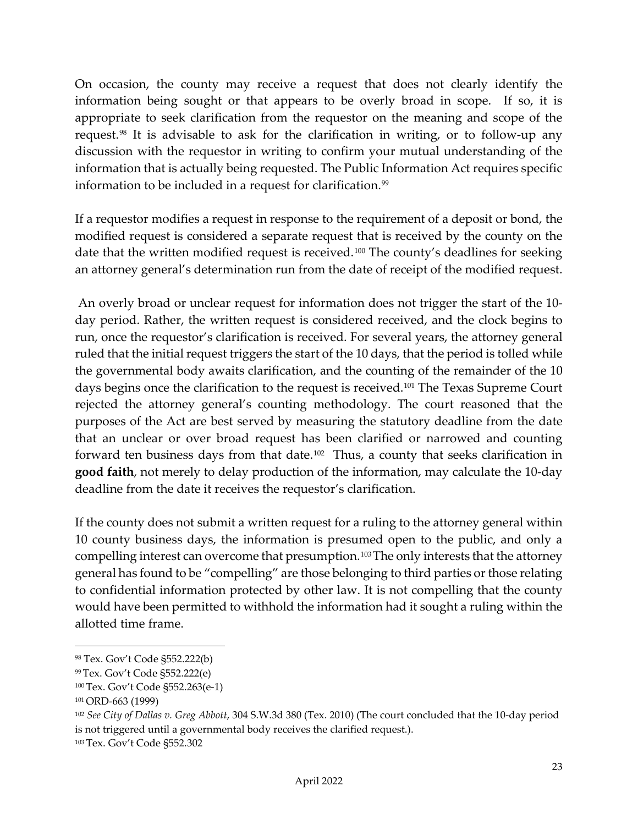On occasion, the county may receive a request that does not clearly identify the information being sought or that appears to be overly broad in scope. If so, it is appropriate to seek clarification from the requestor on the meaning and scope of the request.[98](#page-23-0) It is advisable to ask for the clarification in writing, or to follow-up any discussion with the requestor in writing to confirm your mutual understanding of the information that is actually being requested. The Public Information Act requires specific information to be included in a request for clarification.<sup>[99](#page-23-1)</sup>

If a requestor modifies a request in response to the requirement of a deposit or bond, the modified request is considered a separate request that is received by the county on the date that the written modified request is received.<sup>[100](#page-23-2)</sup> The county's deadlines for seeking an attorney general's determination run from the date of receipt of the modified request.

An overly broad or unclear request for information does not trigger the start of the 10 day period. Rather, the written request is considered received, and the clock begins to run, once the requestor's clarification is received. For several years, the attorney general ruled that the initial request triggers the start of the 10 days, that the period is tolled while the governmental body awaits clarification, and the counting of the remainder of the 10 days begins once the clarification to the request is received.<sup>[101](#page-23-3)</sup> The Texas Supreme Court rejected the attorney general's counting methodology. The court reasoned that the purposes of the Act are best served by measuring the statutory deadline from the date that an unclear or over broad request has been clarified or narrowed and counting forward ten business days from that date.[102](#page-23-4) Thus, a county that seeks clarification in **good faith**, not merely to delay production of the information, may calculate the 10-day deadline from the date it receives the requestor's clarification.

If the county does not submit a written request for a ruling to the attorney general within 10 county business days, the information is presumed open to the public, and only a compelling interest can overcome that presumption.<sup>[103](#page-23-5)</sup>The only interests that the attorney general has found to be "compelling" are those belonging to third parties or those relating to confidential information protected by other law. It is not compelling that the county would have been permitted to withhold the information had it sought a ruling within the allotted time frame.

<span id="page-23-0"></span><sup>98</sup> Tex. Gov't Code §552.222(b)

<span id="page-23-1"></span><sup>99</sup> Tex. Gov't Code §552.222(e)

<span id="page-23-2"></span><sup>100</sup> Tex. Gov't Code §552.263(e-1)

<span id="page-23-3"></span><sup>101</sup>ORD-663 (1999)

<span id="page-23-4"></span><sup>102</sup> *See City of Dallas v. Greg Abbott*, 304 S.W.3d 380 (Tex. 2010) (The court concluded that the 10-day period is not triggered until a governmental body receives the clarified request.).

<span id="page-23-5"></span><sup>103</sup> Tex. Gov't Code §552.302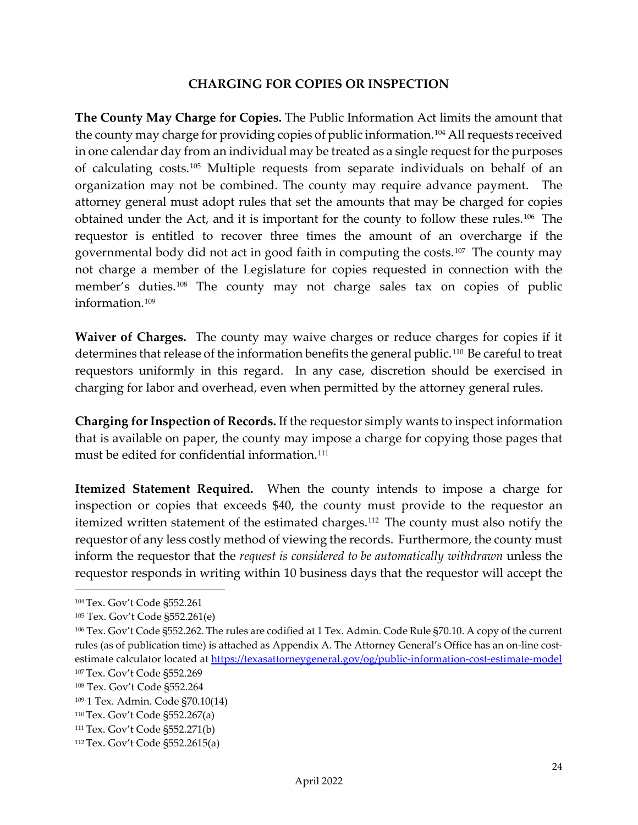#### **CHARGING FOR COPIES OR INSPECTION**

<span id="page-24-1"></span><span id="page-24-0"></span>**The County May Charge for Copies.** The Public Information Act limits the amount that the county may charge for providing copies of public information.[104](#page-24-5) All requests received in one calendar day from an individual may be treated as a single request for the purposes of calculating costs.[105](#page-24-6) Multiple requests from separate individuals on behalf of an organization may not be combined. The county may require advance payment. The attorney general must adopt rules that set the amounts that may be charged for copies obtained under the Act, and it is important for the county to follow these rules.[106](#page-24-7) The requestor is entitled to recover three times the amount of an overcharge if the governmental body did not act in good faith in computing the costs.[107](#page-24-8) The county may not charge a member of the Legislature for copies requested in connection with the member's duties.<sup>[108](#page-24-9)</sup> The county may not charge sales tax on copies of public information<sup>[109](#page-24-10)</sup>

<span id="page-24-2"></span>**Waiver of Charges.** The county may waive charges or reduce charges for copies if it determines that release of the information benefits the general public.<sup>[110](#page-24-11)</sup> Be careful to treat requestors uniformly in this regard. In any case, discretion should be exercised in charging for labor and overhead, even when permitted by the attorney general rules.

<span id="page-24-3"></span>**Charging for Inspection of Records.** If the requestor simply wants to inspect information that is available on paper, the county may impose a charge for copying those pages that must be edited for confidential information.<sup>[111](#page-24-12)</sup>

<span id="page-24-4"></span>**Itemized Statement Required.** When the county intends to impose a charge for inspection or copies that exceeds \$40, the county must provide to the requestor an itemized written statement of the estimated charges.<sup>[112](#page-24-13)</sup> The county must also notify the requestor of any less costly method of viewing the records. Furthermore, the county must inform the requestor that the *request is considered to be automatically withdrawn* unless the requestor responds in writing within 10 business days that the requestor will accept the

<span id="page-24-5"></span><sup>104</sup> Tex. Gov't Code §552.261

<span id="page-24-6"></span><sup>105</sup> Tex. Gov't Code §552.261(e)

<span id="page-24-7"></span><sup>106</sup> Tex. Gov't Code §552.262. The rules are codified at 1 Tex. Admin. Code Rule §70.10. A copy of the current rules (as of publication time) is attached as Appendix A. The Attorney General's Office has an on-line costestimate calculator located at https://texasattorneygeneral.gov/og/public-information-cost-estimate-model 107 Tex. Gov't Code §552.269

<span id="page-24-9"></span><span id="page-24-8"></span><sup>108</sup> Tex. Gov't Code §552.264

<span id="page-24-10"></span><sup>109</sup> 1 Tex. Admin. Code §70.10(14)

<span id="page-24-11"></span><sup>110</sup> Tex. Gov't Code §552.267(a)

<span id="page-24-12"></span><sup>111</sup> Tex. Gov't Code §552.271(b)

<span id="page-24-13"></span><sup>112</sup> Tex. Gov't Code §552.2615(a)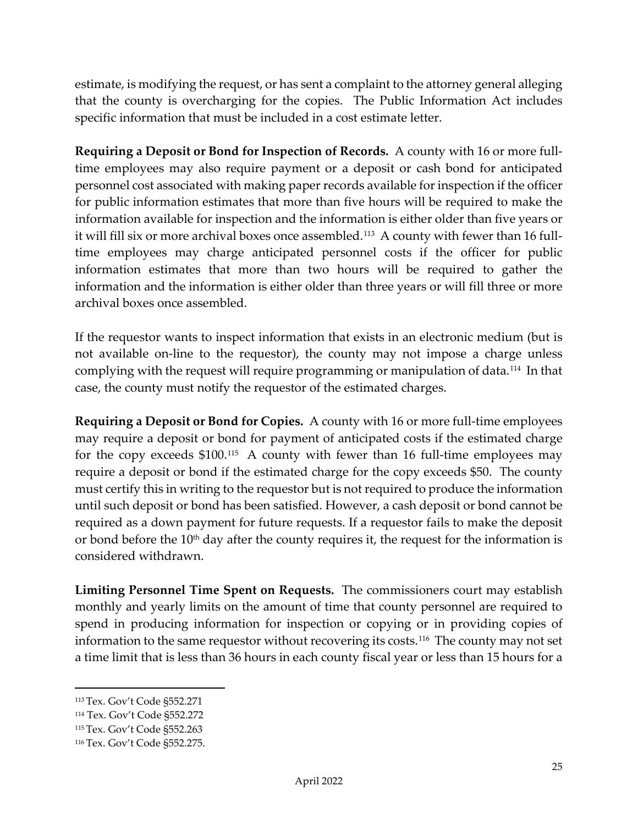estimate, is modifying the request, or has sent a complaint to the attorney general alleging that the county is overcharging for the copies. The Public Information Act includes specific information that must be included in a cost estimate letter.

<span id="page-25-0"></span>**Requiring a Deposit or Bond for Inspection of Records.** A county with 16 or more fulltime employees may also require payment or a deposit or cash bond for anticipated personnel cost associated with making paper records available for inspection if the officer for public information estimates that more than five hours will be required to make the information available for inspection and the information is either older than five years or it will fill six or more archival boxes once assembled.<sup>[113](#page-25-3)</sup> A county with fewer than 16 fulltime employees may charge anticipated personnel costs if the officer for public information estimates that more than two hours will be required to gather the information and the information is either older than three years or will fill three or more archival boxes once assembled.

If the requestor wants to inspect information that exists in an electronic medium (but is not available on-line to the requestor), the county may not impose a charge unless complying with the request will require programming or manipulation of data.[114](#page-25-4) In that case, the county must notify the requestor of the estimated charges.

<span id="page-25-1"></span>**Requiring a Deposit or Bond for Copies.** A county with 16 or more full-time employees may require a deposit or bond for payment of anticipated costs if the estimated charge for the copy exceeds \$100.[115](#page-25-5) A county with fewer than 16 full-time employees may require a deposit or bond if the estimated charge for the copy exceeds \$50. The county must certify this in writing to the requestor but is not required to produce the information until such deposit or bond has been satisfied. However, a cash deposit or bond cannot be required as a down payment for future requests. If a requestor fails to make the deposit or bond before the  $10<sup>th</sup>$  day after the county requires it, the request for the information is considered withdrawn.

<span id="page-25-2"></span>**Limiting Personnel Time Spent on Requests.** The commissioners court may establish monthly and yearly limits on the amount of time that county personnel are required to spend in producing information for inspection or copying or in providing copies of information to the same requestor without recovering its costs.<sup>[116](#page-25-6)</sup> The county may not set a time limit that is less than 36 hours in each county fiscal year or less than 15 hours for a

<span id="page-25-3"></span><sup>113</sup> Tex. Gov't Code §552.271

<span id="page-25-4"></span><sup>114</sup> Tex. Gov't Code §552.272

<span id="page-25-5"></span><sup>115</sup> Tex. Gov't Code §552.263

<span id="page-25-6"></span><sup>116</sup> Tex. Gov't Code §552.275.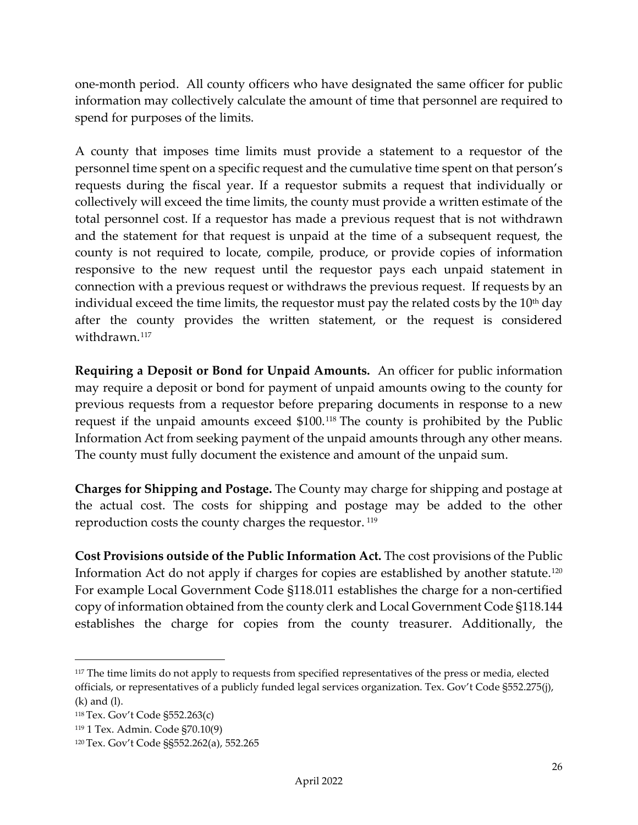one-month period. All county officers who have designated the same officer for public information may collectively calculate the amount of time that personnel are required to spend for purposes of the limits.

A county that imposes time limits must provide a statement to a requestor of the personnel time spent on a specific request and the cumulative time spent on that person's requests during the fiscal year. If a requestor submits a request that individually or collectively will exceed the time limits, the county must provide a written estimate of the total personnel cost. If a requestor has made a previous request that is not withdrawn and the statement for that request is unpaid at the time of a subsequent request, the county is not required to locate, compile, produce, or provide copies of information responsive to the new request until the requestor pays each unpaid statement in connection with a previous request or withdraws the previous request. If requests by an individual exceed the time limits, the requestor must pay the related costs by the  $10<sup>th</sup>$  day after the county provides the written statement, or the request is considered withdrawn.<sup>[117](#page-26-3)</sup>

<span id="page-26-0"></span>**Requiring a Deposit or Bond for Unpaid Amounts.** An officer for public information may require a deposit or bond for payment of unpaid amounts owing to the county for previous requests from a requestor before preparing documents in response to a new request if the unpaid amounts exceed \$100.[118](#page-26-4) The county is prohibited by the Public Information Act from seeking payment of the unpaid amounts through any other means. The county must fully document the existence and amount of the unpaid sum.

<span id="page-26-1"></span>**Charges for Shipping and Postage.** The County may charge for shipping and postage at the actual cost. The costs for shipping and postage may be added to the other reproduction costs the county charges the requestor. [119](#page-26-5)

<span id="page-26-2"></span>**Cost Provisions outside of the Public Information Act.** The cost provisions of the Public Information Act do not apply if charges for copies are established by another statute.<sup>[120](#page-26-6)</sup> For example Local Government Code §118.011 establishes the charge for a non-certified copy of information obtained from the county clerk and Local Government Code §118.144 establishes the charge for copies from the county treasurer. Additionally, the

<span id="page-26-3"></span><sup>&</sup>lt;sup>117</sup> The time limits do not apply to requests from specified representatives of the press or media, elected officials, or representatives of a publicly funded legal services organization. Tex. Gov't Code §552.275(j), (k) and (l).

<span id="page-26-4"></span><sup>118</sup> Tex. Gov't Code §552.263(c)

<span id="page-26-5"></span><sup>119</sup> 1 Tex. Admin. Code §70.10(9)

<span id="page-26-6"></span><sup>120</sup> Tex. Gov't Code §§552.262(a), 552.265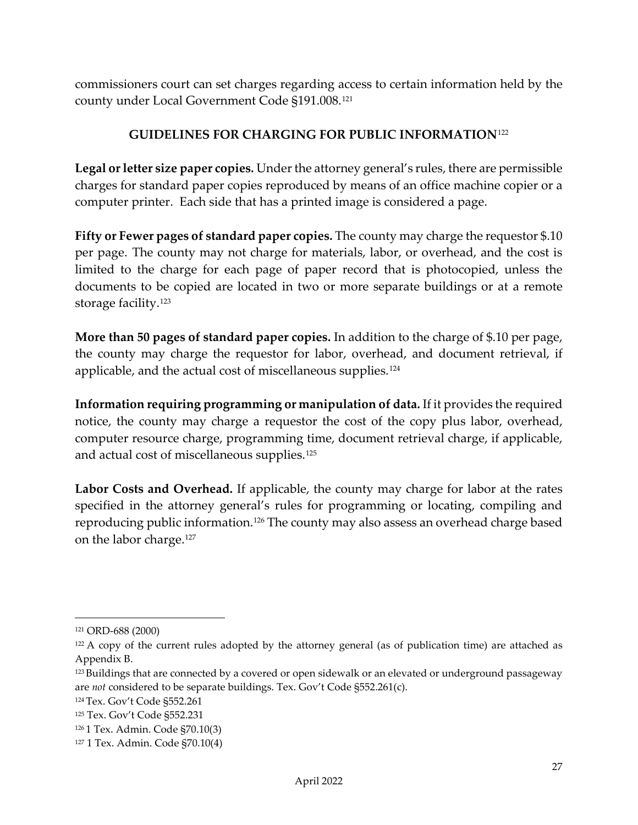commissioners court can set charges regarding access to certain information held by the county under Local Government Code §191.008.[121](#page-27-6)

## **GUIDELINES FOR CHARGING FOR PUBLIC INFORMATION**[122](#page-27-7)

<span id="page-27-1"></span><span id="page-27-0"></span>**Legal or letter size paper copies.** Under the attorney general's rules, there are permissible charges for standard paper copies reproduced by means of an office machine copier or a computer printer. Each side that has a printed image is considered a page.

<span id="page-27-2"></span>**Fifty or Fewer pages of standard paper copies.** The county may charge the requestor \$.10 per page. The county may not charge for materials, labor, or overhead, and the cost is limited to the charge for each page of paper record that is photocopied, unless the documents to be copied are located in two or more separate buildings or at a remote storage facility.[123](#page-27-8)

<span id="page-27-3"></span>**More than 50 pages of standard paper copies.** In addition to the charge of \$.10 per page, the county may charge the requestor for labor, overhead, and document retrieval, if applicable, and the actual cost of miscellaneous supplies.<sup>[124](#page-27-9)</sup>

<span id="page-27-4"></span>**Information requiring programming or manipulation of data.** If it provides the required notice, the county may charge a requestor the cost of the copy plus labor, overhead, computer resource charge, programming time, document retrieval charge, if applicable, and actual cost of miscellaneous supplies.<sup>[125](#page-27-10)</sup>

<span id="page-27-5"></span>**Labor Costs and Overhead.** If applicable, the county may charge for labor at the rates specified in the attorney general's rules for programming or locating, compiling and reproducing public information[.126](#page-27-11) The county may also assess an overhead charge based on the labor charge.[127](#page-27-12)

<span id="page-27-6"></span><sup>121</sup> ORD-688 (2000)

<span id="page-27-7"></span><sup>&</sup>lt;sup>122</sup> A copy of the current rules adopted by the attorney general (as of publication time) are attached as Appendix B.

<span id="page-27-8"></span><sup>123</sup> Buildings that are connected by a covered or open sidewalk or an elevated or underground passageway are *not* considered to be separate buildings. Tex. Gov't Code §552.261(c).

<span id="page-27-9"></span><sup>124</sup> Tex. Gov't Code §552.261

<span id="page-27-10"></span><sup>125</sup> Tex. Gov't Code §552.231

<span id="page-27-11"></span><sup>126</sup> 1 Tex. Admin. Code §70.10(3)

<span id="page-27-12"></span><sup>127</sup> 1 Tex. Admin. Code §70.10(4)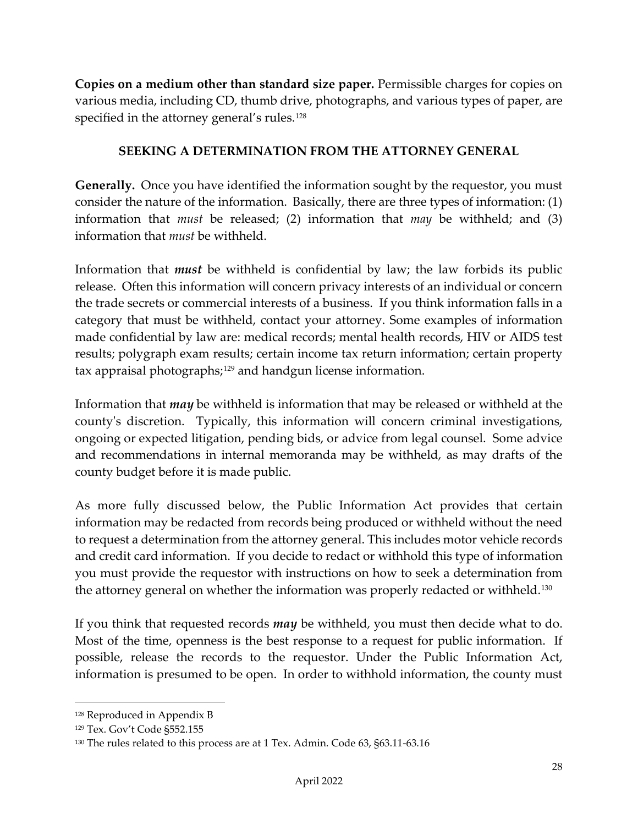<span id="page-28-0"></span>**Copies on a medium other than standard size paper.** Permissible charges for copies on various media, including CD, thumb drive, photographs, and various types of paper, are specified in the attorney general's rules.<sup>[128](#page-28-3)</sup>

#### **SEEKING A DETERMINATION FROM THE ATTORNEY GENERAL**

<span id="page-28-2"></span><span id="page-28-1"></span>**Generally.** Once you have identified the information sought by the requestor, you must consider the nature of the information. Basically, there are three types of information: (1) information that *must* be released; (2) information that *may* be withheld; and (3) information that *must* be withheld.

Information that *must* be withheld is confidential by law; the law forbids its public release. Often this information will concern privacy interests of an individual or concern the trade secrets or commercial interests of a business. If you think information falls in a category that must be withheld, contact your attorney. Some examples of information made confidential by law are: medical records; mental health records, HIV or AIDS test results; polygraph exam results; certain income tax return information; certain property tax appraisal photographs;<sup>[129](#page-28-4)</sup> and handgun license information.

Information that *may* be withheld is information that may be released or withheld at the county's discretion. Typically, this information will concern criminal investigations, ongoing or expected litigation, pending bids, or advice from legal counsel. Some advice and recommendations in internal memoranda may be withheld, as may drafts of the county budget before it is made public.

As more fully discussed below, the Public Information Act provides that certain information may be redacted from records being produced or withheld without the need to request a determination from the attorney general. This includes motor vehicle records and credit card information. If you decide to redact or withhold this type of information you must provide the requestor with instructions on how to seek a determination from the attorney general on whether the information was properly redacted or withheld.<sup>[130](#page-28-5)</sup>

If you think that requested records *may* be withheld, you must then decide what to do. Most of the time, openness is the best response to a request for public information. If possible, release the records to the requestor. Under the Public Information Act, information is presumed to be open. In order to withhold information, the county must

<span id="page-28-3"></span><sup>128</sup> Reproduced in Appendix B

<span id="page-28-4"></span><sup>129</sup> Tex. Gov't Code §552.155

<span id="page-28-5"></span><sup>130</sup> The rules related to this process are at 1 Tex. Admin. Code 63, §63.11-63.16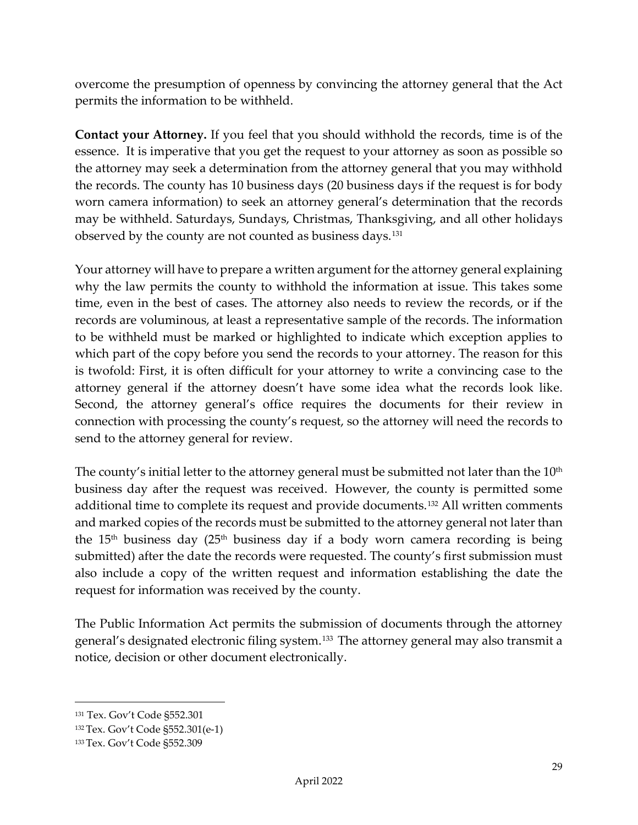overcome the presumption of openness by convincing the attorney general that the Act permits the information to be withheld.

<span id="page-29-0"></span>**Contact your Attorney.** If you feel that you should withhold the records, time is of the essence. It is imperative that you get the request to your attorney as soon as possible so the attorney may seek a determination from the attorney general that you may withhold the records. The county has 10 business days (20 business days if the request is for body worn camera information) to seek an attorney general's determination that the records may be withheld. Saturdays, Sundays, Christmas, Thanksgiving, and all other holidays observed by the county are not counted as business days.[131](#page-29-1)

Your attorney will have to prepare a written argument for the attorney general explaining why the law permits the county to withhold the information at issue. This takes some time, even in the best of cases. The attorney also needs to review the records, or if the records are voluminous, at least a representative sample of the records. The information to be withheld must be marked or highlighted to indicate which exception applies to which part of the copy before you send the records to your attorney. The reason for this is twofold: First, it is often difficult for your attorney to write a convincing case to the attorney general if the attorney doesn't have some idea what the records look like. Second, the attorney general's office requires the documents for their review in connection with processing the county's request, so the attorney will need the records to send to the attorney general for review.

The county's initial letter to the attorney general must be submitted not later than the  $10<sup>th</sup>$ business day after the request was received. However, the county is permitted some additional time to complete its request and provide documents.[132](#page-29-2) All written comments and marked copies of the records must be submitted to the attorney general not later than the  $15<sup>th</sup>$  business day ( $25<sup>th</sup>$  business day if a body worn camera recording is being submitted) after the date the records were requested. The county's first submission must also include a copy of the written request and information establishing the date the request for information was received by the county.

The Public Information Act permits the submission of documents through the attorney general's designated electronic filing system.[133](#page-29-3) The attorney general may also transmit a notice, decision or other document electronically.

<span id="page-29-1"></span><sup>131</sup> Tex. Gov't Code §552.301

<span id="page-29-2"></span><sup>132</sup> Tex. Gov't Code §552.301(e-1)

<span id="page-29-3"></span><sup>133</sup> Tex. Gov't Code §552.309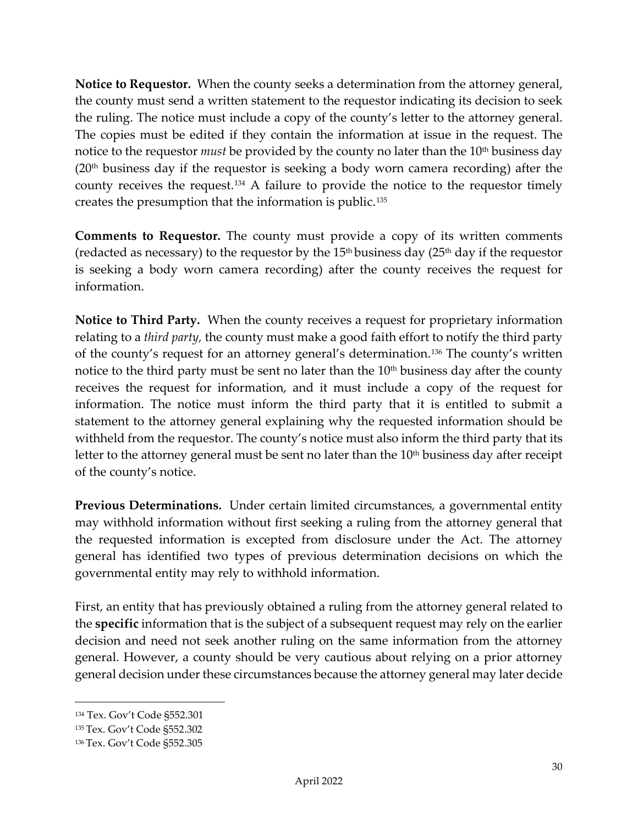<span id="page-30-0"></span>**Notice to Requestor.** When the county seeks a determination from the attorney general, the county must send a written statement to the requestor indicating its decision to seek the ruling. The notice must include a copy of the county's letter to the attorney general. The copies must be edited if they contain the information at issue in the request. The notice to the requestor *must* be provided by the county no later than the 10<sup>th</sup> business day  $(20<sup>th</sup> business day if the requestor is seeking a body worn camera recording) after the$ county receives the request.[134](#page-30-4) A failure to provide the notice to the requestor timely creates the presumption that the information is public.[135](#page-30-5)

<span id="page-30-1"></span>**Comments to Requestor.** The county must provide a copy of its written comments (redacted as necessary) to the requestor by the  $15<sup>th</sup>$  business day ( $25<sup>th</sup>$  day if the requestor is seeking a body worn camera recording) after the county receives the request for information.

<span id="page-30-2"></span>**Notice to Third Party.** When the county receives a request for proprietary information relating to a *third party,* the county must make a good faith effort to notify the third party of the county's request for an attorney general's determination.[136](#page-30-6) The county's written notice to the third party must be sent no later than the  $10<sup>th</sup>$  business day after the county receives the request for information, and it must include a copy of the request for information. The notice must inform the third party that it is entitled to submit a statement to the attorney general explaining why the requested information should be withheld from the requestor. The county's notice must also inform the third party that its letter to the attorney general must be sent no later than the  $10<sup>th</sup>$  business day after receipt of the county's notice.

<span id="page-30-3"></span>**Previous Determinations.** Under certain limited circumstances, a governmental entity may withhold information without first seeking a ruling from the attorney general that the requested information is excepted from disclosure under the Act. The attorney general has identified two types of previous determination decisions on which the governmental entity may rely to withhold information.

First, an entity that has previously obtained a ruling from the attorney general related to the **specific** information that is the subject of a subsequent request may rely on the earlier decision and need not seek another ruling on the same information from the attorney general. However, a county should be very cautious about relying on a prior attorney general decision under these circumstances because the attorney general may later decide

<span id="page-30-4"></span><sup>134</sup> Tex. Gov't Code §552.301

<span id="page-30-5"></span><sup>135</sup> Tex. Gov't Code §552.302

<span id="page-30-6"></span><sup>136</sup> Tex. Gov't Code §552.305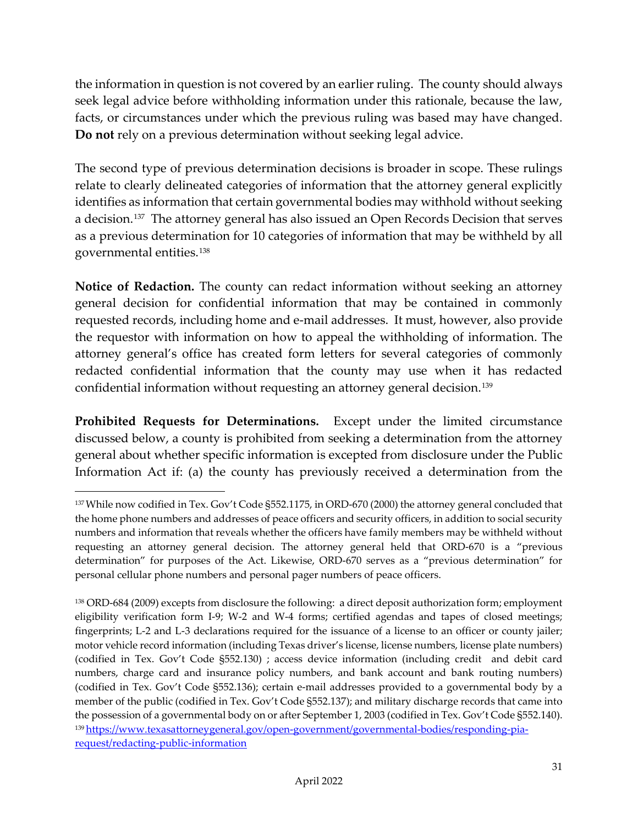the information in question is not covered by an earlier ruling. The county should always seek legal advice before withholding information under this rationale, because the law, facts, or circumstances under which the previous ruling was based may have changed. **Do not** rely on a previous determination without seeking legal advice.

The second type of previous determination decisions is broader in scope. These rulings relate to clearly delineated categories of information that the attorney general explicitly identifies as information that certain governmental bodies may withhold without seeking a decision.[137](#page-31-2) The attorney general has also issued an Open Records Decision that serves as a previous determination for 10 categories of information that may be withheld by all governmental entities.[138](#page-31-3) 

<span id="page-31-0"></span>**Notice of Redaction.** The county can redact information without seeking an attorney general decision for confidential information that may be contained in commonly requested records, including home and e-mail addresses.It must, however, also provide the requestor with information on how to appeal the withholding of information. The attorney general's office has created form letters for several categories of commonly redacted confidential information that the county may use when it has redacted confidential information without requesting an attorney general decision.<sup>[139](#page-31-4)</sup>

<span id="page-31-1"></span>**Prohibited Requests for Determinations.** Except under the limited circumstance discussed below, a county is prohibited from seeking a determination from the attorney general about whether specific information is excepted from disclosure under the Public Information Act if: (a) the county has previously received a determination from the

<span id="page-31-2"></span><sup>137</sup> While now codified in Tex. Gov't Code §552.1175, in ORD-670 (2000) the attorney general concluded that the home phone numbers and addresses of peace officers and security officers, in addition to social security numbers and information that reveals whether the officers have family members may be withheld without requesting an attorney general decision. The attorney general held that ORD-670 is a "previous determination" for purposes of the Act. Likewise, ORD-670 serves as a "previous determination" for personal cellular phone numbers and personal pager numbers of peace officers.

<span id="page-31-4"></span><span id="page-31-3"></span><sup>138</sup> ORD-684 (2009) excepts from disclosure the following: a direct deposit authorization form; employment eligibility verification form I-9; W-2 and W-4 forms; certified agendas and tapes of closed meetings; fingerprints; L-2 and L-3 declarations required for the issuance of a license to an officer or county jailer; motor vehicle record information (including Texas driver's license, license numbers, license plate numbers) (codified in Tex. Gov't Code §552.130) ; access device information (including credit and debit card numbers, charge card and insurance policy numbers, and bank account and bank routing numbers) (codified in Tex. Gov't Code §552.136); certain e-mail addresses provided to a governmental body by a member of the public (codified in Tex. Gov't Code §552.137); and military discharge records that came into the possession of a governmental body on or after September 1, 2003 (codified in Tex. Gov't Code §552.140). 13[9 https://www.texasattorneygeneral.gov/open-government/governmental-bodies/responding-pia](https://www.texasattorneygeneral.gov/open-government/governmental-bodies/responding-pia-request/redacting-public-information)[request/redacting-public-information](https://www.texasattorneygeneral.gov/open-government/governmental-bodies/responding-pia-request/redacting-public-information)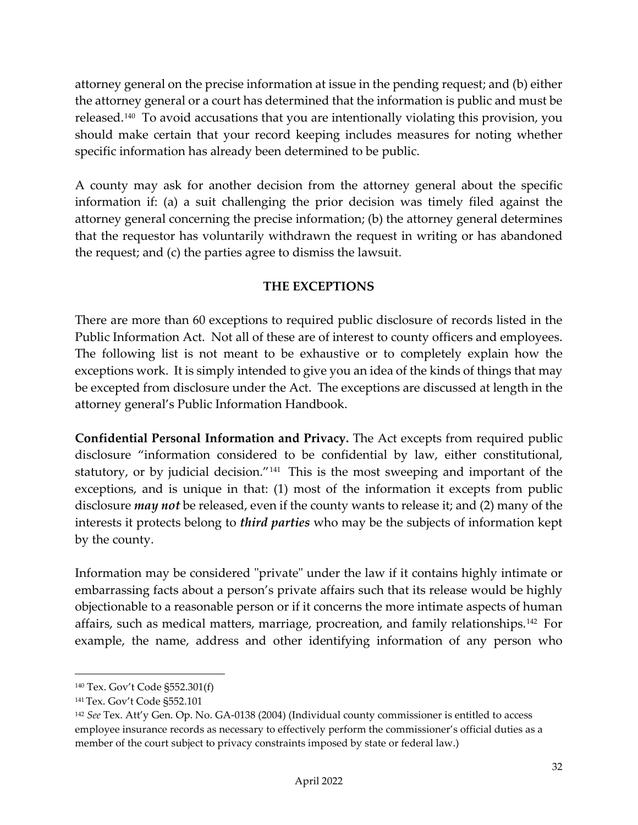attorney general on the precise information at issue in the pending request; and (b) either the attorney general or a court has determined that the information is public and must be released.[140](#page-32-2) To avoid accusations that you are intentionally violating this provision, you should make certain that your record keeping includes measures for noting whether specific information has already been determined to be public.

A county may ask for another decision from the attorney general about the specific information if: (a) a suit challenging the prior decision was timely filed against the attorney general concerning the precise information; (b) the attorney general determines that the requestor has voluntarily withdrawn the request in writing or has abandoned the request; and (c) the parties agree to dismiss the lawsuit.

## **THE EXCEPTIONS**

<span id="page-32-0"></span>There are more than 60 exceptions to required public disclosure of records listed in the Public Information Act. Not all of these are of interest to county officers and employees. The following list is not meant to be exhaustive or to completely explain how the exceptions work. It is simply intended to give you an idea of the kinds of things that may be excepted from disclosure under the Act. The exceptions are discussed at length in the attorney general's Public Information Handbook.

<span id="page-32-1"></span>**Confidential Personal Information and Privacy.** The Act excepts from required public disclosure "information considered to be confidential by law, either constitutional, statutory, or by judicial decision."<sup>[141](#page-32-3)</sup> This is the most sweeping and important of the exceptions, and is unique in that: (1) most of the information it excepts from public disclosure *may not* be released, even if the county wants to release it; and (2) many of the interests it protects belong to *third parties* who may be the subjects of information kept by the county.

Information may be considered "private" under the law if it contains highly intimate or embarrassing facts about a person's private affairs such that its release would be highly objectionable to a reasonable person or if it concerns the more intimate aspects of human affairs, such as medical matters, marriage, procreation, and family relationships.[142](#page-32-4) For example, the name, address and other identifying information of any person who

<span id="page-32-2"></span><sup>140</sup> Tex. Gov't Code §552.301(f)

<span id="page-32-3"></span><sup>141</sup> Tex. Gov't Code §552.101

<span id="page-32-4"></span><sup>142</sup> *See* Tex. Att'y Gen. Op. No. GA-0138 (2004) (Individual county commissioner is entitled to access employee insurance records as necessary to effectively perform the commissioner's official duties as a member of the court subject to privacy constraints imposed by state or federal law.)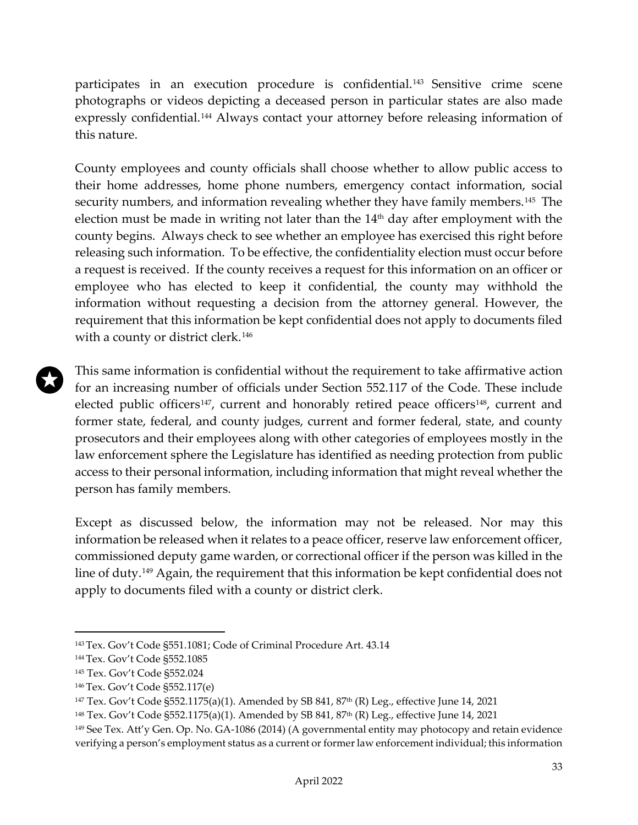participates in an execution procedure is confidential.<sup>[143](#page-33-0)</sup> Sensitive crime scene photographs or videos depicting a deceased person in particular states are also made expressly confidential.<sup>[144](#page-33-1)</sup> Always contact your attorney before releasing information of this nature.

County employees and county officials shall choose whether to allow public access to their home addresses, home phone numbers, emergency contact information, social security numbers, and information revealing whether they have family members.<sup>[145](#page-33-2)</sup> The election must be made in writing not later than the  $14<sup>th</sup>$  day after employment with the county begins. Always check to see whether an employee has exercised this right before releasing such information. To be effective, the confidentiality election must occur before a request is received. If the county receives a request for this information on an officer or employee who has elected to keep it confidential, the county may withhold the information without requesting a decision from the attorney general. However, the requirement that this information be kept confidential does not apply to documents filed with a county or district clerk.<sup>[146](#page-33-3)</sup>

This same information is confidential without the requirement to take affirmative action for an increasing number of officials under Section 552.117 of the Code. These include elected public officers<sup>[147](#page-33-4)</sup>, current and honorably retired peace officers<sup>[148](#page-33-5)</sup>, current and former state, federal, and county judges, current and former federal, state, and county prosecutors and their employees along with other categories of employees mostly in the law enforcement sphere the Legislature has identified as needing protection from public access to their personal information, including information that might reveal whether the person has family members.

Except as discussed below, the information may not be released. Nor may this information be released when it relates to a peace officer, reserve law enforcement officer, commissioned deputy game warden, or correctional officer if the person was killed in the line of duty.[149](#page-33-6) Again, the requirement that this information be kept confidential does not apply to documents filed with a county or district clerk.

<span id="page-33-0"></span><sup>143</sup> Tex. Gov't Code §551.1081; Code of Criminal Procedure Art. 43.14

<span id="page-33-1"></span><sup>144</sup> Tex. Gov't Code §552.1085

<span id="page-33-2"></span><sup>145</sup> Tex. Gov't Code §552.024

<span id="page-33-3"></span><sup>146</sup> Tex. Gov't Code §552.117(e)

<span id="page-33-4"></span><sup>147</sup> Tex. Gov't Code §552.1175(a)(1). Amended by SB 841, 87th (R) Leg., effective June 14, 2021

<span id="page-33-5"></span><sup>148</sup> Tex. Gov't Code §552.1175(a)(1). Amended by SB 841, 87th (R) Leg., effective June 14, 2021

<span id="page-33-6"></span><sup>149</sup> See Tex. Att'y Gen. Op. No. GA-1086 (2014) (A governmental entity may photocopy and retain evidence verifying a person's employment status as a current or former law enforcement individual; this information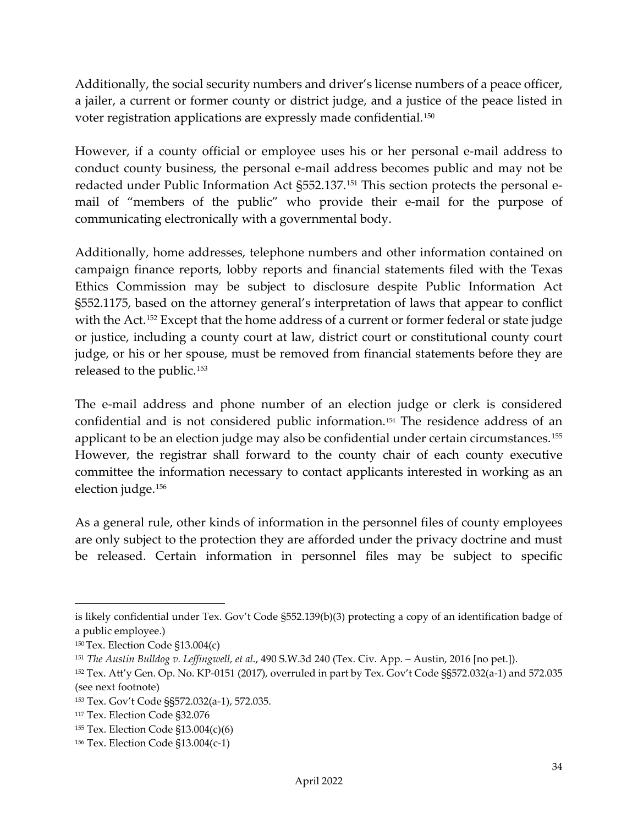Additionally, the social security numbers and driver's license numbers of a peace officer, a jailer, a current or former county or district judge, and a justice of the peace listed in voter registration applications are expressly made confidential.[150](#page-34-0)

However, if a county official or employee uses his or her personal e-mail address to conduct county business, the personal e-mail address becomes public and may not be redacted under Public Information Act §552.137.[151](#page-34-1) This section protects the personal email of "members of the public" who provide their e-mail for the purpose of communicating electronically with a governmental body.

Additionally, home addresses, telephone numbers and other information contained on campaign finance reports, lobby reports and financial statements filed with the Texas Ethics Commission may be subject to disclosure despite Public Information Act §552.1175, based on the attorney general's interpretation of laws that appear to conflict with the Act.<sup>[152](#page-34-2)</sup> Except that the home address of a current or former federal or state judge or justice, including a county court at law, district court or constitutional county court judge, or his or her spouse, must be removed from financial statements before they are released to the public.[153](#page-34-3)

The e-mail address and phone number of an election judge or clerk is considered confidential and is not considered public information.[154](#page-34-4) The residence address of an applicant to be an election judge may also be confidential under certain circumstances.[155](#page-34-5) However, the registrar shall forward to the county chair of each county executive committee the information necessary to contact applicants interested in working as an election judge.[156](#page-34-6)

As a general rule, other kinds of information in the personnel files of county employees are only subject to the protection they are afforded under the privacy doctrine and must be released. Certain information in personnel files may be subject to specific

is likely confidential under Tex. Gov't Code §552.139(b)(3) protecting a copy of an identification badge of a public employee.)

<span id="page-34-0"></span><sup>150</sup> Tex. Election Code §13.004(c)

<span id="page-34-1"></span><sup>151</sup> *The Austin Bulldog v. Leffingwell, et al*., 490 S.W.3d 240 (Tex. Civ. App. – Austin, 2016 [no pet.]).

<span id="page-34-2"></span><sup>152</sup> Tex. Att'y Gen. Op. No. KP-0151 (2017), overruled in part by Tex. Gov't Code §§572.032(a-1) and 572.035 (see next footnote)

<span id="page-34-3"></span><sup>153</sup> Tex. Gov't Code §§572.032(a-1), 572.035.

<span id="page-34-4"></span><sup>117</sup> Tex. Election Code §32.076

<span id="page-34-5"></span><sup>155</sup> Tex. Election Code §13.004(c)(6)

<span id="page-34-6"></span><sup>156</sup> Tex. Election Code §13.004(c-1)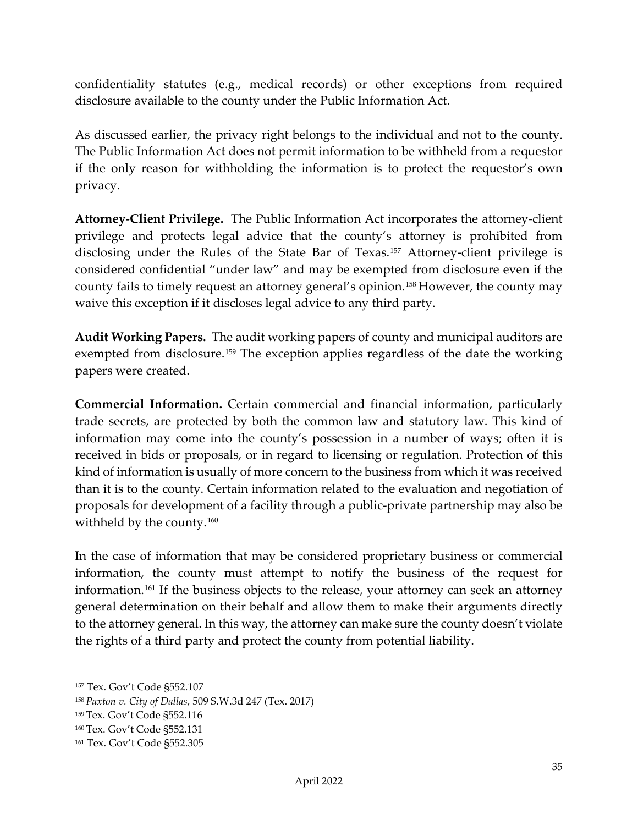confidentiality statutes (e.g., medical records) or other exceptions from required disclosure available to the county under the Public Information Act.

As discussed earlier, the privacy right belongs to the individual and not to the county. The Public Information Act does not permit information to be withheld from a requestor if the only reason for withholding the information is to protect the requestor's own privacy.

<span id="page-35-0"></span>**Attorney-Client Privilege.** The Public Information Act incorporates the attorney-client privilege and protects legal advice that the county's attorney is prohibited from disclosing under the Rules of the State Bar of Texas.[157](#page-35-3) Attorney-client privilege is considered confidential "under law" and may be exempted from disclosure even if the county fails to timely request an attorney general's opinion.[158](#page-35-4) However, the county may waive this exception if it discloses legal advice to any third party.

<span id="page-35-1"></span>**Audit Working Papers.** The audit working papers of county and municipal auditors are exempted from disclosure.<sup>[159](#page-35-5)</sup> The exception applies regardless of the date the working papers were created.

<span id="page-35-2"></span>**Commercial Information.** Certain commercial and financial information, particularly trade secrets, are protected by both the common law and statutory law. This kind of information may come into the county's possession in a number of ways; often it is received in bids or proposals, or in regard to licensing or regulation. Protection of this kind of information is usually of more concern to the business from which it was received than it is to the county. Certain information related to the evaluation and negotiation of proposals for development of a facility through a public-private partnership may also be withheld by the county.<sup>[160](#page-35-6)</sup>

In the case of information that may be considered proprietary business or commercial information, the county must attempt to notify the business of the request for information.[161](#page-35-7) If the business objects to the release, your attorney can seek an attorney general determination on their behalf and allow them to make their arguments directly to the attorney general. In this way, the attorney can make sure the county doesn't violate the rights of a third party and protect the county from potential liability.

<span id="page-35-3"></span><sup>157</sup> Tex. Gov't Code §552.107

<span id="page-35-4"></span><sup>158</sup> *Paxton v. City of Dallas*, 509 S.W.3d 247 (Tex. 2017)

<span id="page-35-5"></span><sup>159</sup> Tex. Gov't Code §552.116

<span id="page-35-6"></span><sup>160</sup> Tex. Gov't Code §552.131

<span id="page-35-7"></span><sup>161</sup> Tex. Gov't Code §552.305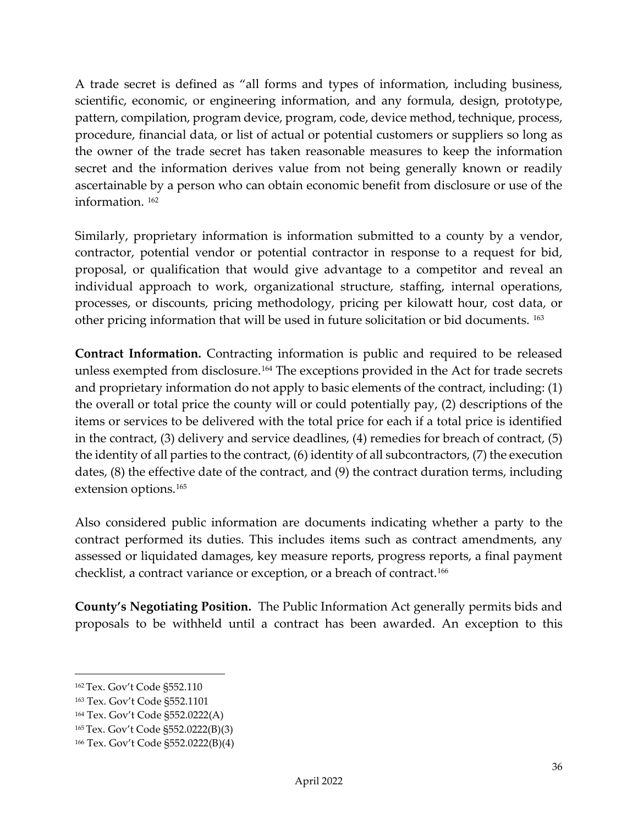A trade secret is defined as "all forms and types of information, including business, scientific, economic, or engineering information, and any formula, design, prototype, pattern, compilation, program device, program, code, device method, technique, process, procedure, financial data, or list of actual or potential customers or suppliers so long as the owner of the trade secret has taken reasonable measures to keep the information secret and the information derives value from not being generally known or readily ascertainable by a person who can obtain economic benefit from disclosure or use of the information. [162](#page-36-1)

Similarly, proprietary information is information submitted to a county by a vendor, contractor, potential vendor or potential contractor in response to a request for bid, proposal, or qualification that would give advantage to a competitor and reveal an individual approach to work, organizational structure, staffing, internal operations, processes, or discounts, pricing methodology, pricing per kilowatt hour, cost data, or other pricing information that will be used in future solicitation or bid documents. [163](#page-36-2)

**Contract Information.** Contracting information is public and required to be released unless exempted from disclosure.[164](#page-36-3) The exceptions provided in the Act for trade secrets and proprietary information do not apply to basic elements of the contract, including: (1) the overall or total price the county will or could potentially pay, (2) descriptions of the items or services to be delivered with the total price for each if a total price is identified in the contract, (3) delivery and service deadlines, (4) remedies for breach of contract, (5) the identity of all parties to the contract, (6) identity of all subcontractors, (7) the execution dates, (8) the effective date of the contract, and (9) the contract duration terms, including extension options.[165](#page-36-4)

Also considered public information are documents indicating whether a party to the contract performed its duties. This includes items such as contract amendments, any assessed or liquidated damages, key measure reports, progress reports, a final payment checklist, a contract variance or exception, or a breach of contract.<sup>[166](#page-36-5)</sup>

<span id="page-36-0"></span>**County's Negotiating Position.** The Public Information Act generally permits bids and proposals to be withheld until a contract has been awarded. An exception to this

<span id="page-36-1"></span><sup>162</sup> Tex. Gov't Code §552.110

<span id="page-36-2"></span><sup>163</sup> Tex. Gov't Code §552.1101

<span id="page-36-3"></span><sup>164</sup> Tex. Gov't Code §552.0222(A)

<span id="page-36-4"></span><sup>165</sup> Tex. Gov't Code §552.0222(B)(3)

<span id="page-36-5"></span><sup>166</sup> Tex. Gov't Code §552.0222(B)(4)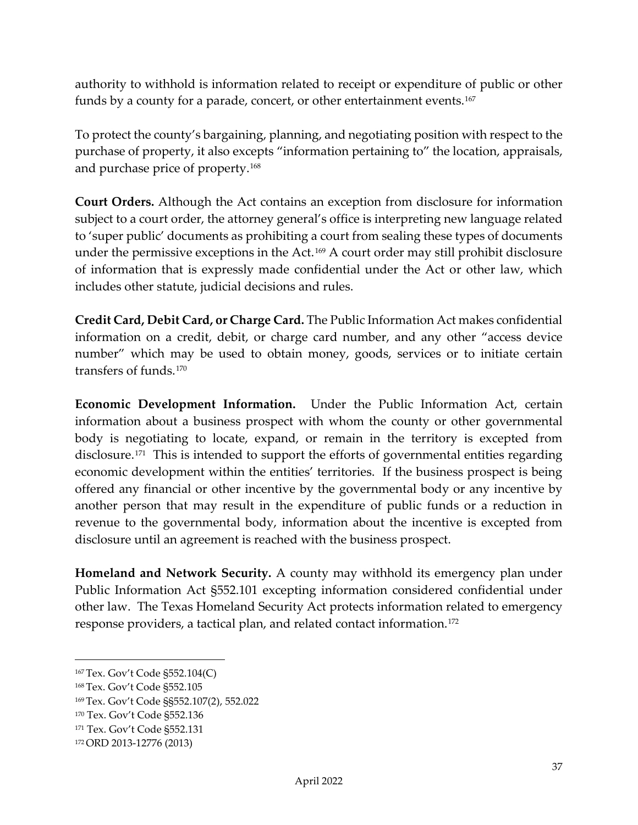authority to withhold is information related to receipt or expenditure of public or other funds by a county for a parade, concert, or other entertainment events.<sup>167</sup>

To protect the county's bargaining, planning, and negotiating position with respect to the purchase of property, it also excepts "information pertaining to" the location, appraisals, and purchase price of property.[168](#page-37-5)

<span id="page-37-0"></span>**Court Orders.** Although the Act contains an exception from disclosure for information subject to a court order, the attorney general's office is interpreting new language related to 'super public' documents as prohibiting a court from sealing these types of documents under the permissive exceptions in the Act.[169](#page-37-6) A court order may still prohibit disclosure of information that is expressly made confidential under the Act or other law, which includes other statute, judicial decisions and rules.

<span id="page-37-1"></span>**Credit Card, Debit Card, or Charge Card.** The Public Information Act makes confidential information on a credit, debit, or charge card number, and any other "access device number" which may be used to obtain money, goods, services or to initiate certain transfers of funds.[170](#page-37-7)

<span id="page-37-2"></span>**Economic Development Information.** Under the Public Information Act, certain information about a business prospect with whom the county or other governmental body is negotiating to locate, expand, or remain in the territory is excepted from disclosure.<sup>[171](#page-37-8)</sup> This is intended to support the efforts of governmental entities regarding economic development within the entities' territories. If the business prospect is being offered any financial or other incentive by the governmental body or any incentive by another person that may result in the expenditure of public funds or a reduction in revenue to the governmental body, information about the incentive is excepted from disclosure until an agreement is reached with the business prospect.

<span id="page-37-3"></span>**Homeland and Network Security.** A county may withhold its emergency plan under Public Information Act §552.101 excepting information considered confidential under other law. The Texas Homeland Security Act protects information related to emergency response providers, a tactical plan, and related contact information.[172](#page-37-9)

<span id="page-37-4"></span><sup>167</sup> Tex. Gov't Code §552.104(C)

<span id="page-37-5"></span><sup>168</sup> Tex. Gov't Code §552.105

<span id="page-37-6"></span><sup>169</sup> Tex. Gov't Code §§552.107(2), 552.022

<span id="page-37-7"></span><sup>170</sup> Tex. Gov't Code §552.136

<span id="page-37-8"></span><sup>171</sup> Tex. Gov't Code §552.131

<span id="page-37-9"></span><sup>172</sup>ORD 2013-12776 (2013)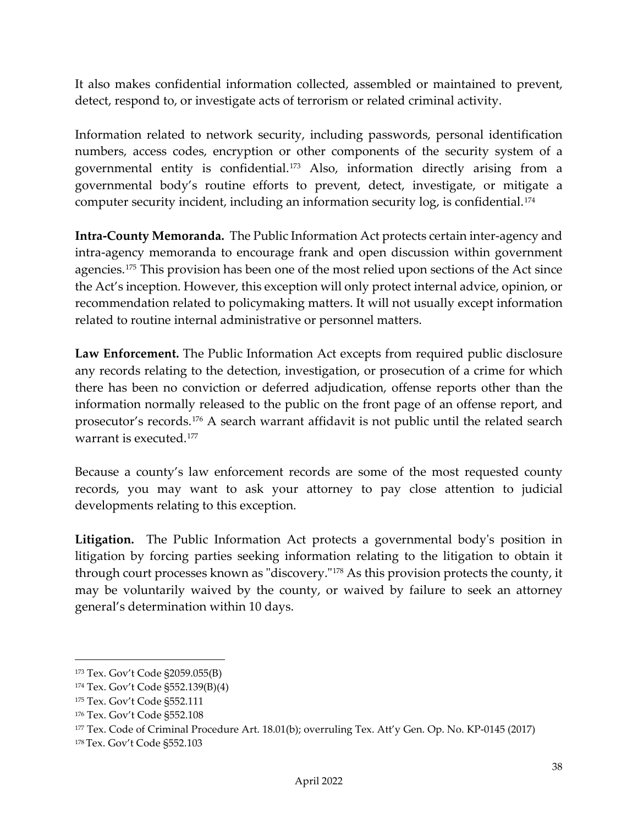It also makes confidential information collected, assembled or maintained to prevent, detect, respond to, or investigate acts of terrorism or related criminal activity.

Information related to network security, including passwords, personal identification numbers, access codes, encryption or other components of the security system of a governmental entity is confidential.[173](#page-38-3) Also, information directly arising from a governmental body's routine efforts to prevent, detect, investigate, or mitigate a computer security incident, including an information security log, is confidential.<sup>[174](#page-38-4)</sup>

<span id="page-38-0"></span>**Intra-County Memoranda.** The Public Information Act protects certain inter-agency and intra-agency memoranda to encourage frank and open discussion within government agencies.[175](#page-38-5) This provision has been one of the most relied upon sections of the Act since the Act's inception. However, this exception will only protect internal advice, opinion, or recommendation related to policymaking matters. It will not usually except information related to routine internal administrative or personnel matters.

<span id="page-38-1"></span>**Law Enforcement.** The Public Information Act excepts from required public disclosure any records relating to the detection, investigation, or prosecution of a crime for which there has been no conviction or deferred adjudication, offense reports other than the information normally released to the public on the front page of an offense report, and prosecutor's records.[176](#page-38-6) A search warrant affidavit is not public until the related search warrant is executed.[177](#page-38-7)

Because a county's law enforcement records are some of the most requested county records, you may want to ask your attorney to pay close attention to judicial developments relating to this exception.

<span id="page-38-2"></span>**Litigation.** The Public Information Act protects a governmental body's position in litigation by forcing parties seeking information relating to the litigation to obtain it through court processes known as "discovery."[178](#page-38-8) As this provision protects the county, it may be voluntarily waived by the county, or waived by failure to seek an attorney general's determination within 10 days.

<span id="page-38-3"></span><sup>173</sup> Tex. Gov't Code §2059.055(B)

<span id="page-38-4"></span><sup>174</sup> Tex. Gov't Code §552.139(B)(4)

<span id="page-38-5"></span><sup>175</sup> Tex. Gov't Code §552.111

<span id="page-38-6"></span><sup>176</sup> Tex. Gov't Code §552.108

<span id="page-38-7"></span><sup>177</sup> Tex. Code of Criminal Procedure Art. 18.01(b); overruling Tex. Att'y Gen. Op. No. KP-0145 (2017)

<span id="page-38-8"></span><sup>178</sup> Tex. Gov't Code §552.103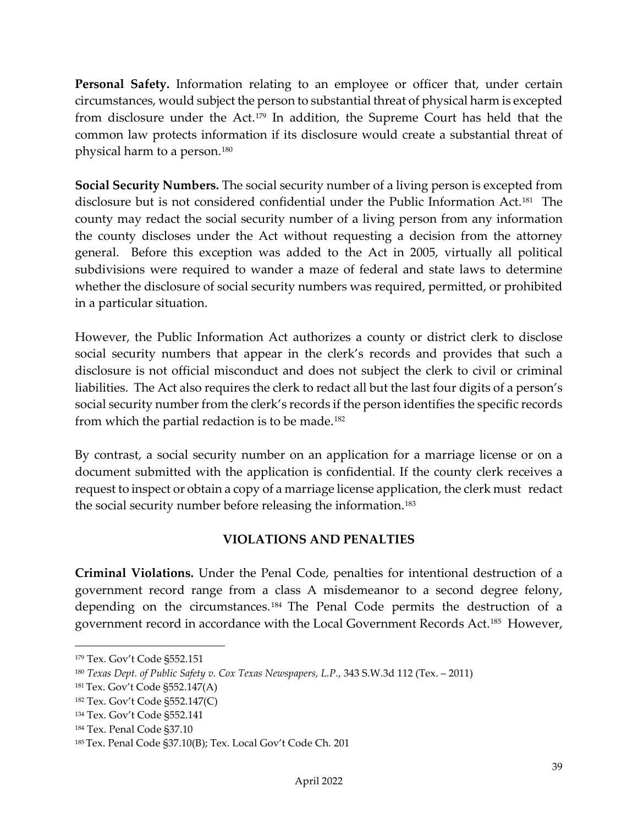<span id="page-39-0"></span>**Personal Safety.** Information relating to an employee or officer that, under certain circumstances, would subject the person to substantial threat of physical harm is excepted from disclosure under the Act.[179](#page-39-4) In addition, the Supreme Court has held that the common law protects information if its disclosure would create a substantial threat of physical harm to a person.[180](#page-39-5)

<span id="page-39-1"></span>**Social Security Numbers.** The social security number of a living person is excepted from disclosure but is not considered confidential under the Public Information Act.[181](#page-39-6) The county may redact the social security number of a living person from any information the county discloses under the Act without requesting a decision from the attorney general. Before this exception was added to the Act in 2005, virtually all political subdivisions were required to wander a maze of federal and state laws to determine whether the disclosure of social security numbers was required, permitted, or prohibited in a particular situation.

However, the Public Information Act authorizes a county or district clerk to disclose social security numbers that appear in the clerk's records and provides that such a disclosure is not official misconduct and does not subject the clerk to civil or criminal liabilities. The Act also requires the clerk to redact all but the last four digits of a person's social security number from the clerk's records if the person identifies the specific records from which the partial redaction is to be made.<sup>[182](#page-39-7)</sup>

By contrast, a social security number on an application for a marriage license or on a document submitted with the application is confidential. If the county clerk receives a request to inspect or obtain a copy of a marriage license application, the clerk must redact the social security number before releasing the information.<sup>[183](#page-39-8)</sup>

## **VIOLATIONS AND PENALTIES**

<span id="page-39-3"></span><span id="page-39-2"></span>**Criminal Violations.** Under the Penal Code, penalties for intentional destruction of a government record range from a class A misdemeanor to a second degree felony, depending on the circumstances.[184](#page-39-9) The Penal Code permits the destruction of a government record in accordance with the Local Government Records Act.[185](#page-39-10) However,

<span id="page-39-4"></span><sup>179</sup> Tex. Gov't Code §552.151

<span id="page-39-5"></span><sup>180</sup> *Texas Dept. of Public Safety v. Cox Texas Newspapers, L.P.*, 343 S.W.3d 112 (Tex. – 2011)

<span id="page-39-6"></span><sup>181</sup> Tex. Gov't Code §552.147(A)

<span id="page-39-7"></span><sup>182</sup> Tex. Gov't Code §552.147(C)

<span id="page-39-8"></span><sup>134</sup> Tex. Gov't Code §552.141

<span id="page-39-9"></span><sup>184</sup> Tex. Penal Code §37.10

<span id="page-39-10"></span><sup>185</sup> Tex. Penal Code §37.10(B); Tex. Local Gov't Code Ch. 201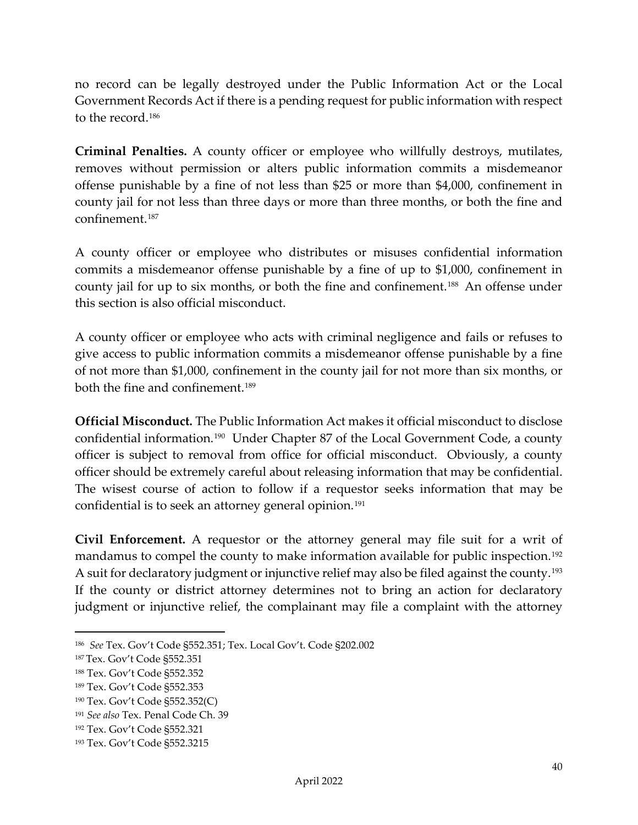no record can be legally destroyed under the Public Information Act or the Local Government Records Act if there is a pending request for public information with respect to the record.[186](#page-40-3)

<span id="page-40-0"></span>**Criminal Penalties.** A county officer or employee who willfully destroys, mutilates, removes without permission or alters public information commits a misdemeanor offense punishable by a fine of not less than \$25 or more than \$4,000, confinement in county jail for not less than three days or more than three months, or both the fine and confinement.[187](#page-40-4)

A county officer or employee who distributes or misuses confidential information commits a misdemeanor offense punishable by a fine of up to \$1,000, confinement in county jail for up to six months, or both the fine and confinement.<sup>[188](#page-40-5)</sup> An offense under this section is also official misconduct.

A county officer or employee who acts with criminal negligence and fails or refuses to give access to public information commits a misdemeanor offense punishable by a fine of not more than \$1,000, confinement in the county jail for not more than six months, or both the fine and confinement.[189](#page-40-6)

<span id="page-40-1"></span>**Official Misconduct.** The Public Information Act makes it official misconduct to disclose confidential information.[190](#page-40-7) Under Chapter 87 of the Local Government Code, a county officer is subject to removal from office for official misconduct. Obviously, a county officer should be extremely careful about releasing information that may be confidential. The wisest course of action to follow if a requestor seeks information that may be confidential is to seek an attorney general opinion.<sup>[191](#page-40-8)</sup>

<span id="page-40-2"></span>**Civil Enforcement.** A requestor or the attorney general may file suit for a writ of mandamus to compel the county to make information available for public inspection.<sup>[192](#page-40-9)</sup> A suit for declaratory judgment or injunctive relief may also be filed against the county.<sup>[193](#page-40-10)</sup> If the county or district attorney determines not to bring an action for declaratory judgment or injunctive relief, the complainant may file a complaint with the attorney

<span id="page-40-3"></span><sup>186</sup> *See* Tex. Gov't Code §552.351; Tex. Local Gov't. Code §202.002

<span id="page-40-4"></span><sup>187</sup> Tex. Gov't Code §552.351

<span id="page-40-5"></span><sup>188</sup> Tex. Gov't Code §552.352

<span id="page-40-6"></span><sup>189</sup> Tex. Gov't Code §552.353

<span id="page-40-7"></span><sup>190</sup> Tex. Gov't Code §552.352(C)

<span id="page-40-8"></span><sup>191</sup> *See also* Tex. Penal Code Ch. 39

<span id="page-40-9"></span><sup>192</sup> Tex. Gov't Code §552.321

<span id="page-40-10"></span><sup>193</sup> Tex. Gov't Code §552.3215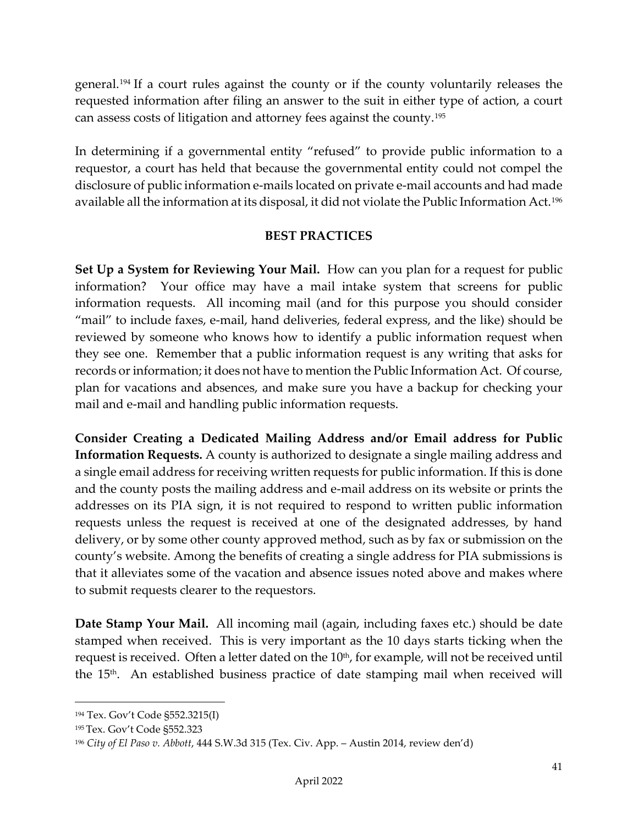general.[194](#page-41-3) If a court rules against the county or if the county voluntarily releases the requested information after filing an answer to the suit in either type of action, a court can assess costs of litigation and attorney fees against the county.[195](#page-41-4)

In determining if a governmental entity "refused" to provide public information to a requestor, a court has held that because the governmental entity could not compel the disclosure of public information e-mails located on private e-mail accounts and had made available all the information at its disposal, it did not violate the Public Information Act.[196](#page-41-5)

#### **BEST PRACTICES**

<span id="page-41-1"></span><span id="page-41-0"></span>**Set Up a System for Reviewing Your Mail.** How can you plan for a request for public information? Your office may have a mail intake system that screens for public information requests. All incoming mail (and for this purpose you should consider "mail" to include faxes, e-mail, hand deliveries, federal express, and the like) should be reviewed by someone who knows how to identify a public information request when they see one. Remember that a public information request is any writing that asks for records or information; it does not have to mention the Public Information Act. Of course, plan for vacations and absences, and make sure you have a backup for checking your mail and e-mail and handling public information requests.

**Consider Creating a Dedicated Mailing Address and/or Email address for Public Information Requests.** A county is authorized to designate a single mailing address and a single email address for receiving written requests for public information. If this is done and the county posts the mailing address and e-mail address on its website or prints the addresses on its PIA sign, it is not required to respond to written public information requests unless the request is received at one of the designated addresses, by hand delivery, or by some other county approved method, such as by fax or submission on the county's website. Among the benefits of creating a single address for PIA submissions is that it alleviates some of the vacation and absence issues noted above and makes where to submit requests clearer to the requestors.

<span id="page-41-2"></span>**Date Stamp Your Mail.** All incoming mail (again, including faxes etc.) should be date stamped when received. This is very important as the 10 days starts ticking when the request is received. Often a letter dated on the  $10<sup>th</sup>$ , for example, will not be received until the 15<sup>th</sup>. An established business practice of date stamping mail when received will

<span id="page-41-3"></span><sup>194</sup> Tex. Gov't Code §552.3215(I)

<span id="page-41-4"></span><sup>195</sup> Tex. Gov't Code §552.323

<span id="page-41-5"></span><sup>196</sup> *City of El Paso v. Abbott*, 444 S.W.3d 315 (Tex. Civ. App. – Austin 2014, review den'd)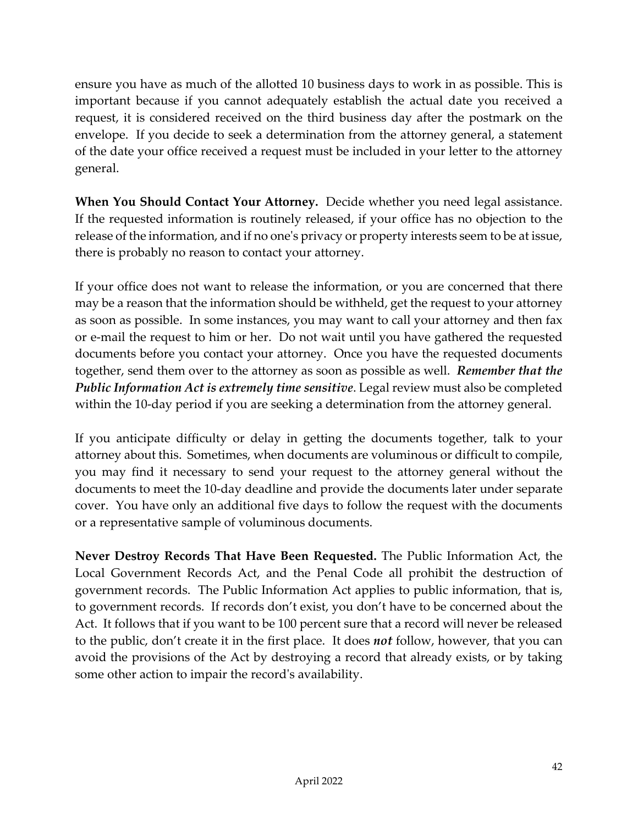ensure you have as much of the allotted 10 business days to work in as possible. This is important because if you cannot adequately establish the actual date you received a request, it is considered received on the third business day after the postmark on the envelope. If you decide to seek a determination from the attorney general, a statement of the date your office received a request must be included in your letter to the attorney general.

<span id="page-42-0"></span>**When You Should Contact Your Attorney.** Decide whether you need legal assistance. If the requested information is routinely released, if your office has no objection to the release of the information, and if no one's privacy or property interests seem to be at issue, there is probably no reason to contact your attorney.

If your office does not want to release the information, or you are concerned that there may be a reason that the information should be withheld, get the request to your attorney as soon as possible. In some instances, you may want to call your attorney and then fax or e-mail the request to him or her. Do not wait until you have gathered the requested documents before you contact your attorney. Once you have the requested documents together, send them over to the attorney as soon as possible as well. *Remember that the Public Information Act is extremely time sensitive*. Legal review must also be completed within the 10-day period if you are seeking a determination from the attorney general.

If you anticipate difficulty or delay in getting the documents together, talk to your attorney about this. Sometimes, when documents are voluminous or difficult to compile, you may find it necessary to send your request to the attorney general without the documents to meet the 10-day deadline and provide the documents later under separate cover. You have only an additional five days to follow the request with the documents or a representative sample of voluminous documents.

<span id="page-42-2"></span><span id="page-42-1"></span>**Never Destroy Records That Have Been Requested.** The Public Information Act, the Local Government Records Act, and the Penal Code all prohibit the destruction of government records. The Public Information Act applies to public information, that is, to government records. If records don't exist, you don't have to be concerned about the Act. It follows that if you want to be 100 percent sure that a record will never be released to the public, don't create it in the first place. It does *not* follow, however, that you can avoid the provisions of the Act by destroying a record that already exists, or by taking some other action to impair the record's availability.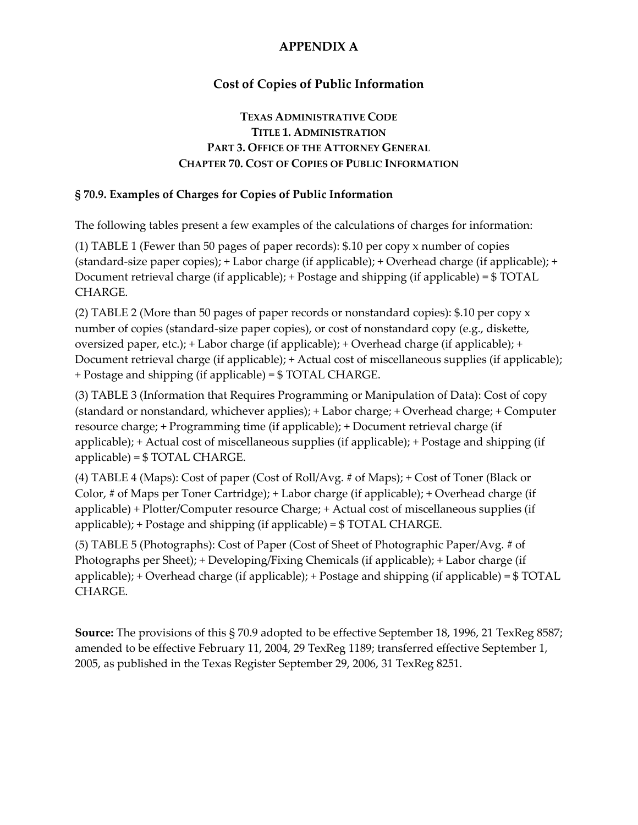## **Cost of Copies of Public Information**

#### **TEXAS ADMINISTRATIVE CODE TITLE 1. ADMINISTRATION PART 3. OFFICE OF THE ATTORNEY GENERAL CHAPTER 70. COST OF COPIES OF PUBLIC INFORMATION**

#### **§ 70.9. Examples of Charges for Copies of Public Information**

The following tables present a few examples of the calculations of charges for information:

(1) TABLE 1 (Fewer than 50 pages of paper records): \$.10 per copy x number of copies (standard-size paper copies); + Labor charge (if applicable); + Overhead charge (if applicable); + Document retrieval charge (if applicable); + Postage and shipping (if applicable) = \$ TOTAL CHARGE.

(2) TABLE 2 (More than 50 pages of paper records or nonstandard copies): \$.10 per copy x number of copies (standard-size paper copies), or cost of nonstandard copy (e.g., diskette, oversized paper, etc.); + Labor charge (if applicable); + Overhead charge (if applicable); + Document retrieval charge (if applicable); + Actual cost of miscellaneous supplies (if applicable); + Postage and shipping (if applicable) = \$ TOTAL CHARGE.

(3) TABLE 3 (Information that Requires Programming or Manipulation of Data): Cost of copy (standard or nonstandard, whichever applies); + Labor charge; + Overhead charge; + Computer resource charge; + Programming time (if applicable); + Document retrieval charge (if applicable); + Actual cost of miscellaneous supplies (if applicable); + Postage and shipping (if applicable) = \$ TOTAL CHARGE.

(4) TABLE 4 (Maps): Cost of paper (Cost of Roll/Avg. # of Maps); + Cost of Toner (Black or Color, # of Maps per Toner Cartridge); + Labor charge (if applicable); + Overhead charge (if applicable) + Plotter/Computer resource Charge; + Actual cost of miscellaneous supplies (if applicable); + Postage and shipping (if applicable) = \$ TOTAL CHARGE.

(5) TABLE 5 (Photographs): Cost of Paper (Cost of Sheet of Photographic Paper/Avg. # of Photographs per Sheet); + Developing/Fixing Chemicals (if applicable); + Labor charge (if applicable); + Overhead charge (if applicable); + Postage and shipping (if applicable) = \$ TOTAL CHARGE.

**Source:** The provisions of this § 70.9 adopted to be effective September 18, 1996, 21 TexReg 8587; amended to be effective February 11, 2004, 29 TexReg 1189; transferred effective September 1, 2005, as published in the Texas Register September 29, 2006, 31 TexReg 8251.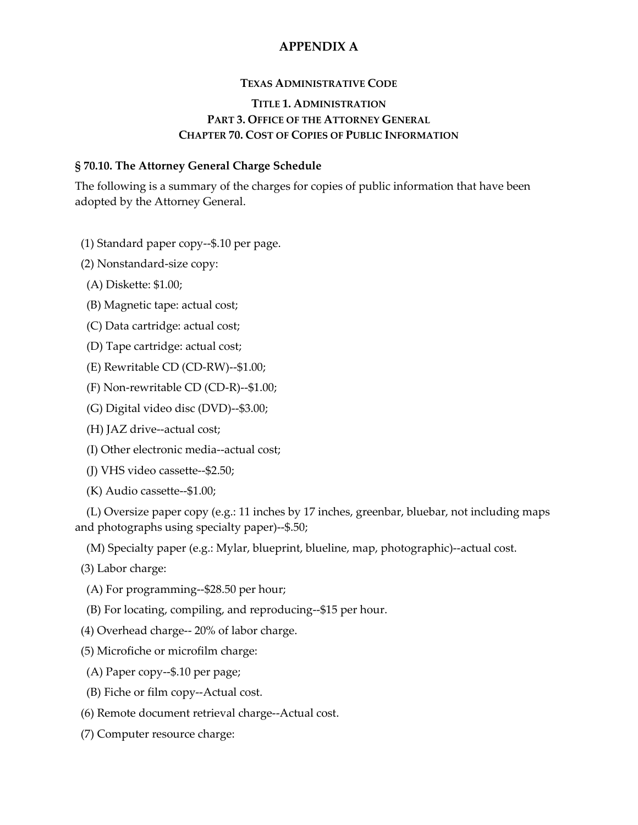#### **TEXAS ADMINISTRATIVE CODE**

#### **TITLE 1. ADMINISTRATION PART 3. OFFICE OF THE ATTORNEY GENERAL CHAPTER 70. COST OF COPIES OF PUBLIC INFORMATION**

#### **§ 70.10. The Attorney General Charge Schedule**

The following is a summary of the charges for copies of public information that have been adopted by the Attorney General.

(1) Standard paper copy--\$.10 per page.

(2) Nonstandard-size copy:

- (A) Diskette: \$1.00;
- (B) Magnetic tape: actual cost;
- (C) Data cartridge: actual cost;
- (D) Tape cartridge: actual cost;
- (E) Rewritable CD (CD-RW)--\$1.00;
- (F) Non-rewritable CD (CD-R)--\$1.00;
- (G) Digital video disc (DVD)--\$3.00;
- (H) JAZ drive--actual cost;
- (I) Other electronic media--actual cost;
- (J) VHS video cassette--\$2.50;
- (K) Audio cassette--\$1.00;

 (L) Oversize paper copy (e.g.: 11 inches by 17 inches, greenbar, bluebar, not including maps and photographs using specialty paper)--\$.50;

(M) Specialty paper (e.g.: Mylar, blueprint, blueline, map, photographic)--actual cost.

(3) Labor charge:

- (A) For programming--\$28.50 per hour;
- (B) For locating, compiling, and reproducing--\$15 per hour.
- (4) Overhead charge-- 20% of labor charge.
- (5) Microfiche or microfilm charge:
- (A) Paper copy--\$.10 per page;
- (B) Fiche or film copy--Actual cost.
- (6) Remote document retrieval charge--Actual cost.
- (7) Computer resource charge: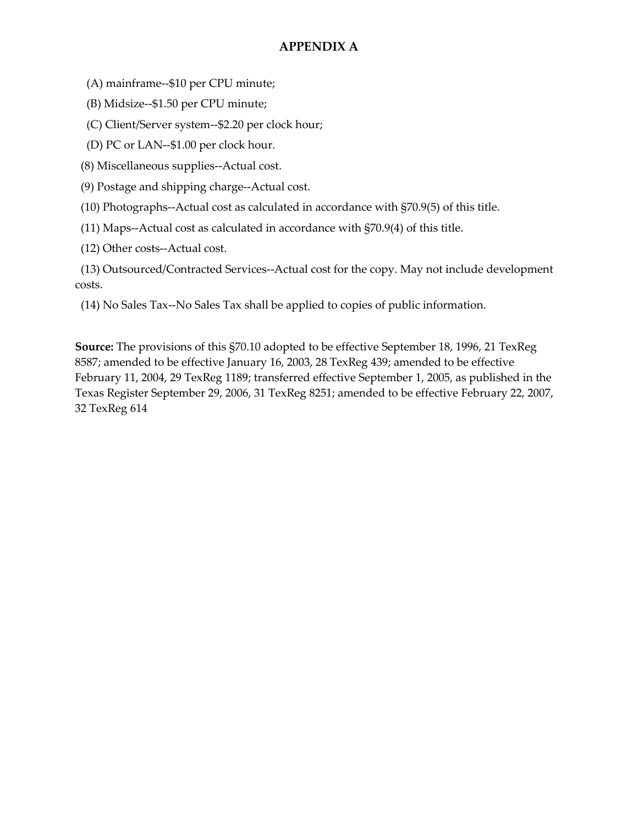(A) mainframe--\$10 per CPU minute;

(B) Midsize--\$1.50 per CPU minute;

(C) Client/Server system--\$2.20 per clock hour;

(D) PC or LAN--\$1.00 per clock hour.

(8) Miscellaneous supplies--Actual cost.

(9) Postage and shipping charge--Actual cost.

(10) Photographs--Actual cost as calculated in accordance with §70.9(5) of this title.

(11) Maps--Actual cost as calculated in accordance with §70.9(4) of this title.

(12) Other costs--Actual cost.

 (13) Outsourced/Contracted Services--Actual cost for the copy. May not include development costs.

(14) No Sales Tax--No Sales Tax shall be applied to copies of public information.

**Source:** The provisions of this §70.10 adopted to be effective September 18, 1996, 21 TexReg 8587; amended to be effective January 16, 2003, 28 TexReg 439; amended to be effective February 11, 2004, 29 TexReg 1189; transferred effective September 1, 2005, as published in the Texas Register September 29, 2006, 31 TexReg 8251; amended to be effective February 22, 2007, 32 TexReg 614